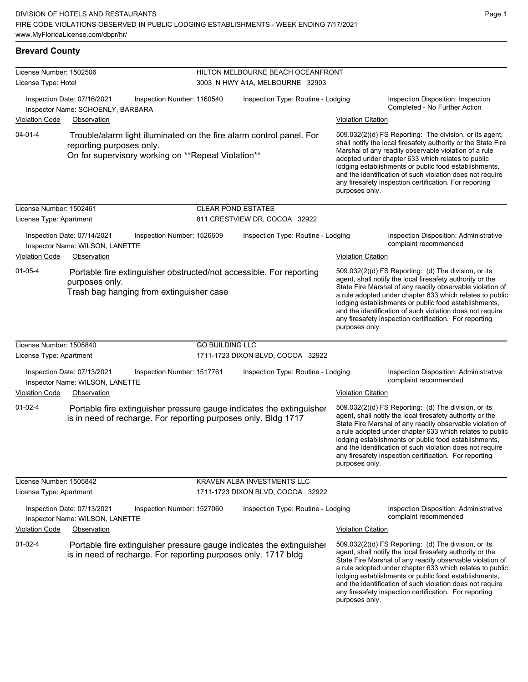#### **Brevard County**

| License Number: 1502506 |                                                                                 |                                                                                                                                        |                                 | HILTON MELBOURNE BEACH OCEANFRONT  |                           |                                                                                                                                                                                                                                                                                                                                                                                                                            |  |
|-------------------------|---------------------------------------------------------------------------------|----------------------------------------------------------------------------------------------------------------------------------------|---------------------------------|------------------------------------|---------------------------|----------------------------------------------------------------------------------------------------------------------------------------------------------------------------------------------------------------------------------------------------------------------------------------------------------------------------------------------------------------------------------------------------------------------------|--|
| License Type: Hotel     |                                                                                 |                                                                                                                                        | 3003 N HWY A1A, MELBOURNE 32903 |                                    |                           |                                                                                                                                                                                                                                                                                                                                                                                                                            |  |
| <b>Violation Code</b>   | Inspection Date: 07/16/2021<br>Inspector Name: SCHOENLY, BARBARA<br>Observation | Inspection Number: 1160540                                                                                                             |                                 | Inspection Type: Routine - Lodging | <b>Violation Citation</b> | Inspection Disposition: Inspection<br>Completed - No Further Action                                                                                                                                                                                                                                                                                                                                                        |  |
| $04 - 01 - 4$           | reporting purposes only.                                                        | Trouble/alarm light illuminated on the fire alarm control panel. For<br>On for supervisory working on **Repeat Violation**             |                                 |                                    | purposes only.            | 509.032(2)(d) FS Reporting: The division, or its agent,<br>shall notify the local firesafety authority or the State Fire<br>Marshal of any readily observable violation of a rule<br>adopted under chapter 633 which relates to public<br>lodging establishments or public food establishments,<br>and the identification of such violation does not require<br>any firesafety inspection certification. For reporting     |  |
| License Number: 1502461 |                                                                                 |                                                                                                                                        | <b>CLEAR POND ESTATES</b>       |                                    |                           |                                                                                                                                                                                                                                                                                                                                                                                                                            |  |
| License Type: Apartment |                                                                                 |                                                                                                                                        |                                 | 811 CRESTVIEW DR, COCOA 32922      |                           |                                                                                                                                                                                                                                                                                                                                                                                                                            |  |
| Violation Code          | Inspection Date: 07/14/2021<br>Inspector Name: WILSON, LANETTE<br>Observation   | Inspection Number: 1526609                                                                                                             |                                 | Inspection Type: Routine - Lodging | <b>Violation Citation</b> | Inspection Disposition: Administrative<br>complaint recommended                                                                                                                                                                                                                                                                                                                                                            |  |
| $01 - 05 - 4$           | purposes only.                                                                  | Portable fire extinguisher obstructed/not accessible. For reporting<br>Trash bag hanging from extinguisher case                        |                                 |                                    | purposes only.            | 509.032(2)(d) FS Reporting: (d) The division, or its<br>agent, shall notify the local firesafety authority or the<br>State Fire Marshal of any readily observable violation of<br>a rule adopted under chapter 633 which relates to public<br>lodging establishments or public food establishments,<br>and the identification of such violation does not require<br>any firesafety inspection certification. For reporting |  |
| License Number: 1505840 |                                                                                 |                                                                                                                                        | <b>GO BUILDING LLC</b>          |                                    |                           |                                                                                                                                                                                                                                                                                                                                                                                                                            |  |
| License Type: Apartment |                                                                                 |                                                                                                                                        |                                 | 1711-1723 DIXON BLVD, COCOA 32922  |                           |                                                                                                                                                                                                                                                                                                                                                                                                                            |  |
|                         | Inspection Date: 07/13/2021<br>Inspector Name: WILSON, LANETTE                  | Inspection Number: 1517761                                                                                                             |                                 | Inspection Type: Routine - Lodging |                           | Inspection Disposition: Administrative<br>complaint recommended                                                                                                                                                                                                                                                                                                                                                            |  |
| Violation Code          | Observation                                                                     |                                                                                                                                        |                                 |                                    | <b>Violation Citation</b> |                                                                                                                                                                                                                                                                                                                                                                                                                            |  |
| $01-02-4$               |                                                                                 | Portable fire extinguisher pressure gauge indicates the extinguisher<br>is in need of recharge. For reporting purposes only. Bldg 1717 |                                 |                                    | purposes only.            | 509.032(2)(d) FS Reporting: (d) The division, or its<br>agent, shall notify the local firesafety authority or the<br>State Fire Marshal of any readily observable violation of<br>a rule adopted under chapter 633 which relates to public<br>lodging establishments or public food establishments,<br>and the identification of such violation does not require<br>any firesafety inspection certification. For reporting |  |
| License Number: 1505842 |                                                                                 |                                                                                                                                        |                                 | KRAVEN ALBA INVESTMENTS LLC        |                           |                                                                                                                                                                                                                                                                                                                                                                                                                            |  |
| License Type: Apartment |                                                                                 |                                                                                                                                        |                                 | 1711-1723 DIXON BLVD, COCOA 32922  |                           |                                                                                                                                                                                                                                                                                                                                                                                                                            |  |
|                         | Inspection Date: 07/13/2021<br>Inspector Name: WILSON, LANETTE                  | Inspection Number: 1527060                                                                                                             |                                 | Inspection Type: Routine - Lodging |                           | Inspection Disposition: Administrative<br>complaint recommended                                                                                                                                                                                                                                                                                                                                                            |  |
| <b>Violation Code</b>   | Observation                                                                     |                                                                                                                                        |                                 |                                    | <b>Violation Citation</b> |                                                                                                                                                                                                                                                                                                                                                                                                                            |  |
| $01 - 02 - 4$           |                                                                                 | Portable fire extinguisher pressure gauge indicates the extinguisher<br>is in need of recharge. For reporting purposes only. 1717 bldg |                                 |                                    | purposes only.            | 509.032(2)(d) FS Reporting: (d) The division, or its<br>agent, shall notify the local firesafety authority or the<br>State Fire Marshal of any readily observable violation of<br>a rule adopted under chapter 633 which relates to public<br>lodging establishments or public food establishments,<br>and the identification of such violation does not require<br>any firesafety inspection certification. For reporting |  |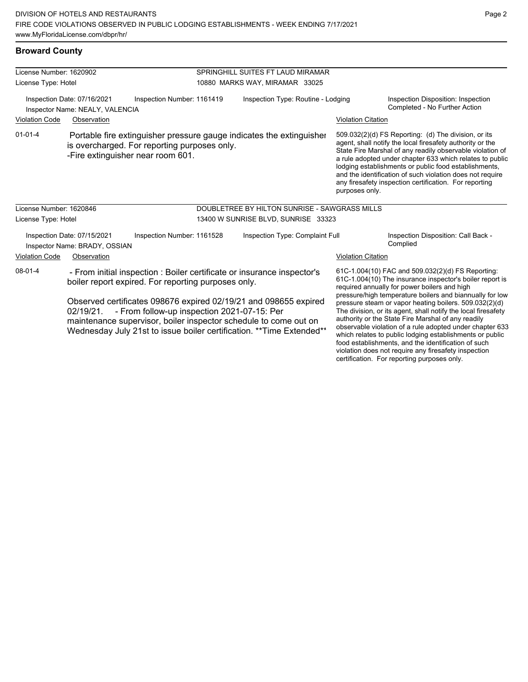| License Number: 1620902                                                                      |                                                                                                                                                           |                                                                                                                                                                                                                                                              |                                               |                           |                                                                                                                                                                                                                                                                                                                                                                                                                            |  |
|----------------------------------------------------------------------------------------------|-----------------------------------------------------------------------------------------------------------------------------------------------------------|--------------------------------------------------------------------------------------------------------------------------------------------------------------------------------------------------------------------------------------------------------------|-----------------------------------------------|---------------------------|----------------------------------------------------------------------------------------------------------------------------------------------------------------------------------------------------------------------------------------------------------------------------------------------------------------------------------------------------------------------------------------------------------------------------|--|
|                                                                                              |                                                                                                                                                           |                                                                                                                                                                                                                                                              | SPRINGHILL SUITES FT LAUD MIRAMAR             |                           |                                                                                                                                                                                                                                                                                                                                                                                                                            |  |
| License Type: Hotel                                                                          |                                                                                                                                                           |                                                                                                                                                                                                                                                              | 10880 MARKS WAY, MIRAMAR 33025                |                           |                                                                                                                                                                                                                                                                                                                                                                                                                            |  |
| Inspection Date: 07/16/2021<br>Inspection Number: 1161419<br>Inspector Name: NEALY, VALENCIA |                                                                                                                                                           |                                                                                                                                                                                                                                                              | Inspection Type: Routine - Lodging            |                           | Inspection Disposition: Inspection<br>Completed - No Further Action                                                                                                                                                                                                                                                                                                                                                        |  |
| Violation Code                                                                               | Observation                                                                                                                                               |                                                                                                                                                                                                                                                              |                                               | <b>Violation Citation</b> |                                                                                                                                                                                                                                                                                                                                                                                                                            |  |
| $01 - 01 - 4$                                                                                | Portable fire extinguisher pressure gauge indicates the extinguisher<br>is overcharged. For reporting purposes only.<br>-Fire extinguisher near room 601. |                                                                                                                                                                                                                                                              |                                               | purposes only.            | 509.032(2)(d) FS Reporting: (d) The division, or its<br>agent, shall notify the local firesafety authority or the<br>State Fire Marshal of any readily observable violation of<br>a rule adopted under chapter 633 which relates to public<br>lodging establishments or public food establishments,<br>and the identification of such violation does not require<br>any firesafety inspection certification. For reporting |  |
| License Number: 1620846                                                                      |                                                                                                                                                           |                                                                                                                                                                                                                                                              | DOUBLETREE BY HILTON SUNRISE - SAWGRASS MILLS |                           |                                                                                                                                                                                                                                                                                                                                                                                                                            |  |
| License Type: Hotel                                                                          |                                                                                                                                                           |                                                                                                                                                                                                                                                              | 13400 W SUNRISE BLVD, SUNRISE 33323           |                           |                                                                                                                                                                                                                                                                                                                                                                                                                            |  |
|                                                                                              | Inspection Date: 07/15/2021<br>Inspection Number: 1161528<br>Inspector Name: BRADY, OSSIAN                                                                | Inspection Type: Complaint Full                                                                                                                                                                                                                              |                                               |                           | Inspection Disposition: Call Back -<br>Complied                                                                                                                                                                                                                                                                                                                                                                            |  |
| <b>Violation Code</b>                                                                        | Observation                                                                                                                                               |                                                                                                                                                                                                                                                              |                                               | <b>Violation Citation</b> |                                                                                                                                                                                                                                                                                                                                                                                                                            |  |
| $08 - 01 - 4$                                                                                | - From initial inspection : Boiler certificate or insurance inspector's<br>boiler report expired. For reporting purposes only.                            |                                                                                                                                                                                                                                                              |                                               |                           | 61C-1.004(10) FAC and 509.032(2)(d) FS Reporting:<br>61C-1.004(10) The insurance inspector's boiler report is<br>required annually for power boilers and high                                                                                                                                                                                                                                                              |  |
|                                                                                              | 02/19/21.                                                                                                                                                 | Observed certificates 098676 expired 02/19/21 and 098655 expired<br>- From follow-up inspection 2021-07-15: Per<br>maintenance supervisor, boiler inspector schedule to come out on<br>Wednesday July 21st to issue boiler certification. ** Time Extended** |                                               |                           | pressure/high temperature boilers and biannually for low<br>pressure steam or vapor heating boilers. 509.032(2)(d)<br>The division, or its agent, shall notify the local firesafety<br>authority or the State Fire Marshal of any readily<br>observable violation of a rule adopted under chapter 633<br>which relates to public lodging establishments or public<br>food establishments, and the identification of such   |  |

violation does not require any firesafety inspection certification. For reporting purposes only.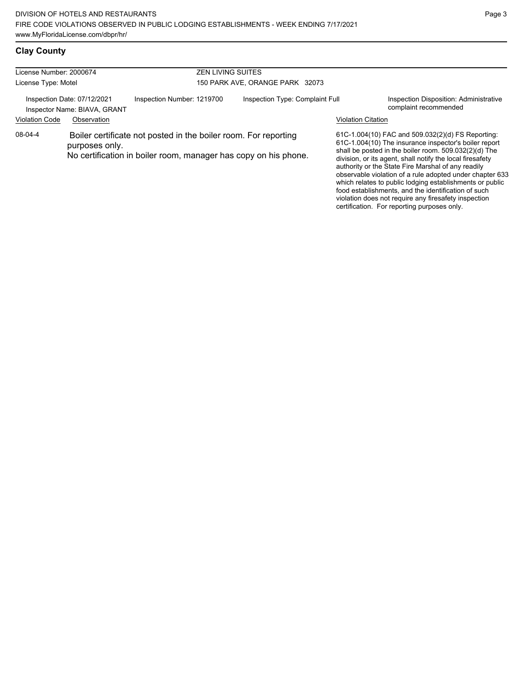| License Number: 2000674<br>License Type: Motel              |                |                                                                                                                                    | <b>ZEN LIVING SUITES</b><br>150 PARK AVE, ORANGE PARK 32073 |                           |                                                                                                                                                                                                                                                                                                                                                                                                                                                                       |  |  |
|-------------------------------------------------------------|----------------|------------------------------------------------------------------------------------------------------------------------------------|-------------------------------------------------------------|---------------------------|-----------------------------------------------------------------------------------------------------------------------------------------------------------------------------------------------------------------------------------------------------------------------------------------------------------------------------------------------------------------------------------------------------------------------------------------------------------------------|--|--|
| Inspection Date: 07/12/2021<br>Inspector Name: BIAVA, GRANT |                | Inspection Number: 1219700                                                                                                         | Inspection Type: Complaint Full                             |                           | Inspection Disposition: Administrative<br>complaint recommended                                                                                                                                                                                                                                                                                                                                                                                                       |  |  |
| <b>Violation Code</b>                                       | Observation    |                                                                                                                                    |                                                             | <b>Violation Citation</b> |                                                                                                                                                                                                                                                                                                                                                                                                                                                                       |  |  |
| 08-04-4                                                     | purposes only. | Boiler certificate not posted in the boiler room. For reporting<br>No certification in boiler room, manager has copy on his phone. |                                                             |                           | 61C-1.004(10) FAC and 509.032(2)(d) FS Reporting:<br>61C-1.004(10) The insurance inspector's boiler report<br>shall be posted in the boiler room. 509.032(2)(d) The<br>division, or its agent, shall notify the local firesafety<br>authority or the State Fire Marshal of any readily<br>observable violation of a rule adopted under chapter 633<br>which relates to public lodging establishments or public<br>food establishments, and the identification of such |  |  |

violation does not require any firesafety inspection certification. For reporting purposes only.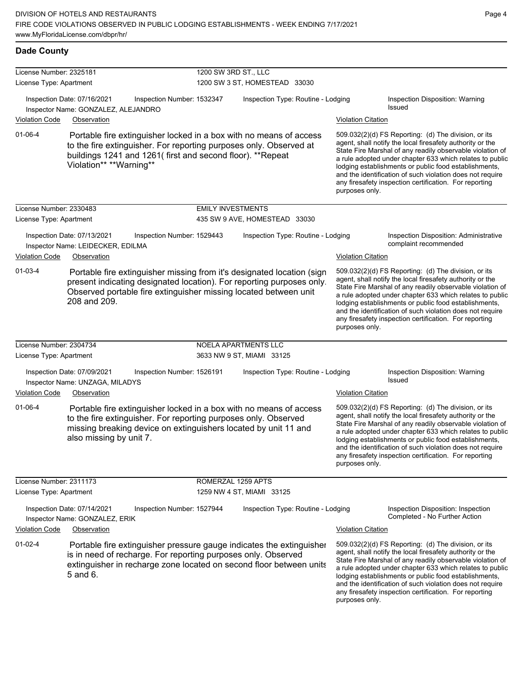| License Number: 2325181 |                                                                                                                                                               | 1200 SW 3RD ST., LLC       |                                                                                                                                                 |                                                                                                                                                                                                                                                                                                                                                                                                                                              |  |  |  |
|-------------------------|---------------------------------------------------------------------------------------------------------------------------------------------------------------|----------------------------|-------------------------------------------------------------------------------------------------------------------------------------------------|----------------------------------------------------------------------------------------------------------------------------------------------------------------------------------------------------------------------------------------------------------------------------------------------------------------------------------------------------------------------------------------------------------------------------------------------|--|--|--|
| License Type: Apartment |                                                                                                                                                               |                            | 1200 SW 3 ST, HOMESTEAD 33030                                                                                                                   |                                                                                                                                                                                                                                                                                                                                                                                                                                              |  |  |  |
| Violation Code          | Inspection Date: 07/16/2021<br>Inspector Name: GONZALEZ, ALEJANDRO<br>Observation                                                                             | Inspection Number: 1532347 | Inspection Type: Routine - Lodging                                                                                                              | Inspection Disposition: Warning<br><b>Issued</b><br><b>Violation Citation</b>                                                                                                                                                                                                                                                                                                                                                                |  |  |  |
|                         |                                                                                                                                                               |                            |                                                                                                                                                 |                                                                                                                                                                                                                                                                                                                                                                                                                                              |  |  |  |
| 01-06-4                 | to the fire extinguisher. For reporting purposes only. Observed at<br>buildings 1241 and 1261(first and second floor). **Repeat<br>Violation** **Warning**    |                            | Portable fire extinguisher locked in a box with no means of access                                                                              | 509.032(2)(d) FS Reporting: (d) The division, or its<br>agent, shall notify the local firesafety authority or the<br>State Fire Marshal of any readily observable violation of<br>a rule adopted under chapter 633 which relates to public<br>lodging establishments or public food establishments,<br>and the identification of such violation does not require<br>any firesafety inspection certification. For reporting<br>purposes only. |  |  |  |
| License Number: 2330483 |                                                                                                                                                               | <b>EMILY INVESTMENTS</b>   |                                                                                                                                                 |                                                                                                                                                                                                                                                                                                                                                                                                                                              |  |  |  |
| License Type: Apartment |                                                                                                                                                               |                            | 435 SW 9 AVE, HOMESTEAD 33030                                                                                                                   |                                                                                                                                                                                                                                                                                                                                                                                                                                              |  |  |  |
|                         | Inspection Date: 07/13/2021<br>Inspector Name: LEIDECKER, EDILMA                                                                                              | Inspection Number: 1529443 | Inspection Type: Routine - Lodging                                                                                                              | Inspection Disposition: Administrative<br>complaint recommended                                                                                                                                                                                                                                                                                                                                                                              |  |  |  |
| <b>Violation Code</b>   | Observation                                                                                                                                                   |                            |                                                                                                                                                 | <b>Violation Citation</b>                                                                                                                                                                                                                                                                                                                                                                                                                    |  |  |  |
| $01 - 03 - 4$           | Observed portable fire extinguisher missing located between unit<br>208 and 209.                                                                              |                            | Portable fire extinguisher missing from it's designated location (sign<br>present indicating designated location). For reporting purposes only. | 509.032(2)(d) FS Reporting: (d) The division, or its<br>agent, shall notify the local firesafety authority or the<br>State Fire Marshal of any readily observable violation of<br>a rule adopted under chapter 633 which relates to public<br>lodging establishments or public food establishments,<br>and the identification of such violation does not require<br>any firesafety inspection certification. For reporting<br>purposes only. |  |  |  |
| License Number: 2304734 |                                                                                                                                                               |                            | NOELA APARTMENTS LLC                                                                                                                            |                                                                                                                                                                                                                                                                                                                                                                                                                                              |  |  |  |
| License Type: Apartment |                                                                                                                                                               |                            | 3633 NW 9 ST, MIAMI 33125                                                                                                                       |                                                                                                                                                                                                                                                                                                                                                                                                                                              |  |  |  |
|                         | Inspection Date: 07/09/2021<br>Inspector Name: UNZAGA, MILADYS                                                                                                | Inspection Number: 1526191 | Inspection Type: Routine - Lodging                                                                                                              | Inspection Disposition: Warning<br>Issued                                                                                                                                                                                                                                                                                                                                                                                                    |  |  |  |
| <b>Violation Code</b>   | Observation                                                                                                                                                   |                            |                                                                                                                                                 | <b>Violation Citation</b>                                                                                                                                                                                                                                                                                                                                                                                                                    |  |  |  |
| $01 - 06 - 4$           | to the fire extinguisher. For reporting purposes only. Observed<br>missing breaking device on extinguishers located by unit 11 and<br>also missing by unit 7. |                            | Portable fire extinguisher locked in a box with no means of access                                                                              | 509.032(2)(d) FS Reporting: (d) The division, or its<br>agent, shall notify the local firesafety authority or the<br>State Fire Marshal of any readily observable violation of<br>a rule adopted under chapter 633 which relates to public<br>lodging establishments or public food establishments,<br>and the identification of such violation does not require<br>any firesafety inspection certification. For reporting<br>purposes only. |  |  |  |
| License Number: 2311173 |                                                                                                                                                               | ROMERZAL 1259 APTS         |                                                                                                                                                 |                                                                                                                                                                                                                                                                                                                                                                                                                                              |  |  |  |
| License Type: Apartment |                                                                                                                                                               |                            | 1259 NW 4 ST, MIAMI 33125                                                                                                                       |                                                                                                                                                                                                                                                                                                                                                                                                                                              |  |  |  |
|                         | Inspection Date: 07/14/2021<br>Inspector Name: GONZALEZ, ERIK                                                                                                 | Inspection Number: 1527944 | Inspection Type: Routine - Lodging                                                                                                              | Inspection Disposition: Inspection<br>Completed - No Further Action                                                                                                                                                                                                                                                                                                                                                                          |  |  |  |
| <b>Violation Code</b>   | Observation                                                                                                                                                   |                            |                                                                                                                                                 | <b>Violation Citation</b>                                                                                                                                                                                                                                                                                                                                                                                                                    |  |  |  |
| $01 - 02 - 4$           | is in need of recharge. For reporting purposes only. Observed<br>5 and 6.                                                                                     |                            | Portable fire extinguisher pressure gauge indicates the extinguisher<br>extinguisher in recharge zone located on second floor between units     | 509.032(2)(d) FS Reporting: (d) The division, or its<br>agent, shall notify the local firesafety authority or the<br>State Fire Marshal of any readily observable violation of<br>a rule adopted under chapter 633 which relates to public<br>lodging establishments or public food establishments,<br>and the identification of such violation does not require<br>any firesafety inspection certification. For reporting<br>purposes only. |  |  |  |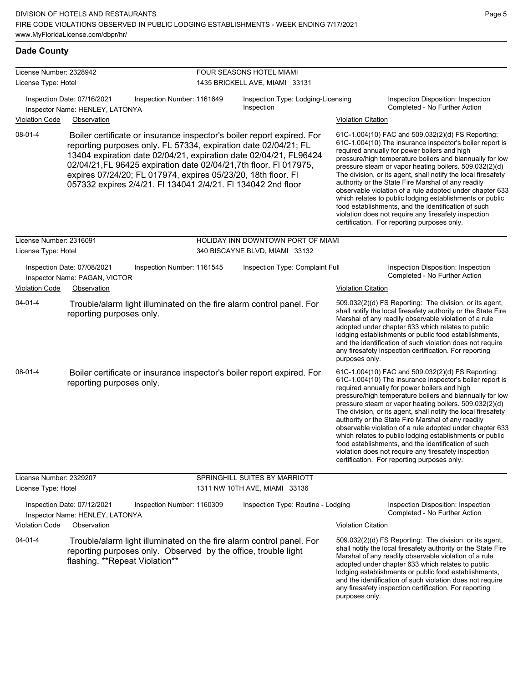| License Number: 2328942 |                                                                                                                                                                                                                                                                                                                                                                                                                       | FOUR SEASONS HOTEL MIAMI                         |                           |                                                                                                                                                                                                                                                                                                                                                                                                                                                                                                                                                                                                                                                                                                  |
|-------------------------|-----------------------------------------------------------------------------------------------------------------------------------------------------------------------------------------------------------------------------------------------------------------------------------------------------------------------------------------------------------------------------------------------------------------------|--------------------------------------------------|---------------------------|--------------------------------------------------------------------------------------------------------------------------------------------------------------------------------------------------------------------------------------------------------------------------------------------------------------------------------------------------------------------------------------------------------------------------------------------------------------------------------------------------------------------------------------------------------------------------------------------------------------------------------------------------------------------------------------------------|
| License Type: Hotel     |                                                                                                                                                                                                                                                                                                                                                                                                                       | 1435 BRICKELL AVE, MIAMI 33131                   |                           |                                                                                                                                                                                                                                                                                                                                                                                                                                                                                                                                                                                                                                                                                                  |
|                         | Inspection Date: 07/16/2021<br>Inspection Number: 1161649<br>Inspector Name: HENLEY, LATONYA                                                                                                                                                                                                                                                                                                                          | Inspection Type: Lodging-Licensing<br>Inspection |                           | Inspection Disposition: Inspection<br>Completed - No Further Action                                                                                                                                                                                                                                                                                                                                                                                                                                                                                                                                                                                                                              |
| <b>Violation Code</b>   | Observation                                                                                                                                                                                                                                                                                                                                                                                                           |                                                  | <b>Violation Citation</b> |                                                                                                                                                                                                                                                                                                                                                                                                                                                                                                                                                                                                                                                                                                  |
| $08 - 01 - 4$           | Boiler certificate or insurance inspector's boiler report expired. For<br>reporting purposes only. FL 57334, expiration date 02/04/21; FL<br>13404 expiration date 02/04/21, expiration date 02/04/21, FL96424<br>02/04/21, FL 96425 expiration date 02/04/21, 7th floor. FI 017975,<br>expires 07/24/20; FL 017974, expires 05/23/20, 18th floor. FI<br>057332 expires 2/4/21. FI 134041 2/4/21. FI 134042 2nd floor |                                                  |                           | 61C-1.004(10) FAC and 509.032(2)(d) FS Reporting:<br>61C-1.004(10) The insurance inspector's boiler report is<br>required annually for power boilers and high<br>pressure/high temperature boilers and biannually for low<br>pressure steam or vapor heating boilers. 509.032(2)(d)<br>The division, or its agent, shall notify the local firesafety<br>authority or the State Fire Marshal of any readily<br>observable violation of a rule adopted under chapter 633<br>which relates to public lodging establishments or public<br>food establishments, and the identification of such<br>violation does not require any firesafety inspection<br>certification. For reporting purposes only. |
| License Number: 2316091 |                                                                                                                                                                                                                                                                                                                                                                                                                       | HOLIDAY INN DOWNTOWN PORT OF MIAMI               |                           |                                                                                                                                                                                                                                                                                                                                                                                                                                                                                                                                                                                                                                                                                                  |
| License Type: Hotel     |                                                                                                                                                                                                                                                                                                                                                                                                                       | 340 BISCAYNE BLVD, MIAMI 33132                   |                           |                                                                                                                                                                                                                                                                                                                                                                                                                                                                                                                                                                                                                                                                                                  |
|                         | Inspection Date: 07/08/2021<br>Inspection Number: 1161545<br>Inspector Name: PAGAN, VICTOR                                                                                                                                                                                                                                                                                                                            | Inspection Type: Complaint Full                  |                           | Inspection Disposition: Inspection<br>Completed - No Further Action                                                                                                                                                                                                                                                                                                                                                                                                                                                                                                                                                                                                                              |
| <b>Violation Code</b>   | Observation                                                                                                                                                                                                                                                                                                                                                                                                           |                                                  | <b>Violation Citation</b> |                                                                                                                                                                                                                                                                                                                                                                                                                                                                                                                                                                                                                                                                                                  |
| $04 - 01 - 4$           | Trouble/alarm light illuminated on the fire alarm control panel. For<br>reporting purposes only.                                                                                                                                                                                                                                                                                                                      |                                                  | purposes only.            | 509.032(2)(d) FS Reporting: The division, or its agent,<br>shall notify the local firesafety authority or the State Fire<br>Marshal of any readily observable violation of a rule<br>adopted under chapter 633 which relates to public<br>lodging establishments or public food establishments,<br>and the identification of such violation does not require<br>any firesafety inspection certification. For reporting                                                                                                                                                                                                                                                                           |
| $08-01-4$               | Boiler certificate or insurance inspector's boiler report expired. For<br>reporting purposes only.                                                                                                                                                                                                                                                                                                                    |                                                  |                           | 61C-1.004(10) FAC and 509.032(2)(d) FS Reporting:<br>61C-1.004(10) The insurance inspector's boiler report is<br>required annually for power boilers and high<br>pressure/high temperature boilers and biannually for low<br>pressure steam or vapor heating boilers. 509.032(2)(d)<br>The division, or its agent, shall notify the local firesafety<br>authority or the State Fire Marshal of any readily<br>observable violation of a rule adopted under chapter 633<br>which relates to public lodging establishments or public<br>food establishments, and the identification of such<br>violation does not require any firesafety inspection<br>certification. For reporting purposes only. |
| License Number: 2329207 |                                                                                                                                                                                                                                                                                                                                                                                                                       | SPRINGHILL SUITES BY MARRIOTT                    |                           |                                                                                                                                                                                                                                                                                                                                                                                                                                                                                                                                                                                                                                                                                                  |
| License Type: Hotel     |                                                                                                                                                                                                                                                                                                                                                                                                                       | 1311 NW 10TH AVE, MIAMI 33136                    |                           |                                                                                                                                                                                                                                                                                                                                                                                                                                                                                                                                                                                                                                                                                                  |
|                         | Inspection Date: 07/12/2021<br>Inspection Number: 1160309<br>Inspector Name: HENLEY, LATONYA                                                                                                                                                                                                                                                                                                                          | Inspection Type: Routine - Lodging               |                           | Inspection Disposition: Inspection<br>Completed - No Further Action                                                                                                                                                                                                                                                                                                                                                                                                                                                                                                                                                                                                                              |
| <b>Violation Code</b>   | Observation                                                                                                                                                                                                                                                                                                                                                                                                           |                                                  | <b>Violation Citation</b> |                                                                                                                                                                                                                                                                                                                                                                                                                                                                                                                                                                                                                                                                                                  |
| $04 - 01 - 4$           | Trouble/alarm light illuminated on the fire alarm control panel. For<br>reporting purposes only. Observed by the office, trouble light<br>flashing. **Repeat Violation**                                                                                                                                                                                                                                              |                                                  | purposes only.            | 509.032(2)(d) FS Reporting: The division, or its agent,<br>shall notify the local firesafety authority or the State Fire<br>Marshal of any readily observable violation of a rule<br>adopted under chapter 633 which relates to public<br>lodging establishments or public food establishments,<br>and the identification of such violation does not require<br>any firesafety inspection certification. For reporting                                                                                                                                                                                                                                                                           |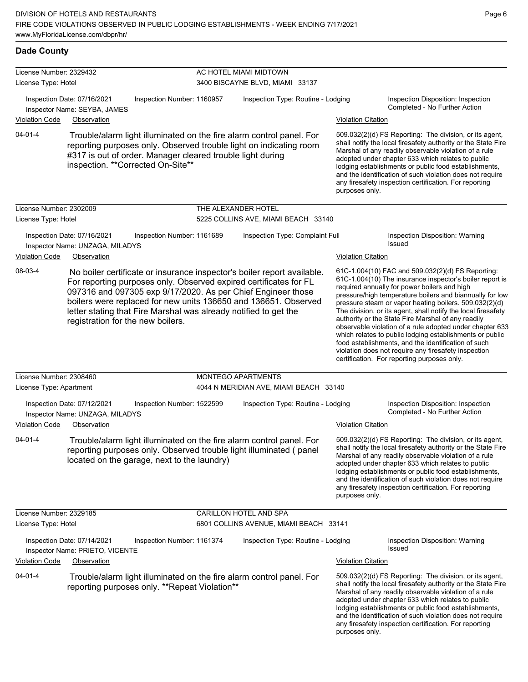| License Number: 2329432 |                                                                               |                                                                                                  |                           | AC HOTEL MIAMI MIDTOWN                                                                                                                                                                                                                                                          |                           |                                                                                                                                                                                                                                                                                                                                                                                                                                                                                                                                                                                                                                                                                                  |
|-------------------------|-------------------------------------------------------------------------------|--------------------------------------------------------------------------------------------------|---------------------------|---------------------------------------------------------------------------------------------------------------------------------------------------------------------------------------------------------------------------------------------------------------------------------|---------------------------|--------------------------------------------------------------------------------------------------------------------------------------------------------------------------------------------------------------------------------------------------------------------------------------------------------------------------------------------------------------------------------------------------------------------------------------------------------------------------------------------------------------------------------------------------------------------------------------------------------------------------------------------------------------------------------------------------|
| License Type: Hotel     |                                                                               |                                                                                                  |                           | 3400 BISCAYNE BLVD, MIAMI 33137                                                                                                                                                                                                                                                 |                           |                                                                                                                                                                                                                                                                                                                                                                                                                                                                                                                                                                                                                                                                                                  |
|                         | Inspection Date: 07/16/2021<br>Inspector Name: SEYBA, JAMES                   | Inspection Number: 1160957                                                                       |                           | Inspection Type: Routine - Lodging                                                                                                                                                                                                                                              |                           | Inspection Disposition: Inspection<br>Completed - No Further Action                                                                                                                                                                                                                                                                                                                                                                                                                                                                                                                                                                                                                              |
| <b>Violation Code</b>   | Observation                                                                   |                                                                                                  |                           |                                                                                                                                                                                                                                                                                 | <b>Violation Citation</b> |                                                                                                                                                                                                                                                                                                                                                                                                                                                                                                                                                                                                                                                                                                  |
| $04 - 01 - 4$           |                                                                               | #317 is out of order. Manager cleared trouble light during<br>inspection. ** Corrected On-Site** |                           | Trouble/alarm light illuminated on the fire alarm control panel. For<br>reporting purposes only. Observed trouble light on indicating room                                                                                                                                      | purposes only.            | 509.032(2)(d) FS Reporting: The division, or its agent,<br>shall notify the local firesafety authority or the State Fire<br>Marshal of any readily observable violation of a rule<br>adopted under chapter 633 which relates to public<br>lodging establishments or public food establishments,<br>and the identification of such violation does not require<br>any firesafety inspection certification. For reporting                                                                                                                                                                                                                                                                           |
| License Number: 2302009 |                                                                               |                                                                                                  | THE ALEXANDER HOTEL       |                                                                                                                                                                                                                                                                                 |                           |                                                                                                                                                                                                                                                                                                                                                                                                                                                                                                                                                                                                                                                                                                  |
| License Type: Hotel     |                                                                               |                                                                                                  |                           | 5225 COLLINS AVE, MIAMI BEACH 33140                                                                                                                                                                                                                                             |                           |                                                                                                                                                                                                                                                                                                                                                                                                                                                                                                                                                                                                                                                                                                  |
| <b>Violation Code</b>   | Inspection Date: 07/16/2021<br>Inspector Name: UNZAGA, MILADYS<br>Observation | Inspection Number: 1161689                                                                       |                           | Inspection Type: Complaint Full                                                                                                                                                                                                                                                 | <b>Violation Citation</b> | Inspection Disposition: Warning<br>Issued                                                                                                                                                                                                                                                                                                                                                                                                                                                                                                                                                                                                                                                        |
| 08-03-4                 | registration for the new boilers.                                             | letter stating that Fire Marshal was already notified to get the                                 |                           | No boiler certificate or insurance inspector's boiler report available.<br>For reporting purposes only. Observed expired certificates for FL<br>097316 and 097305 exp 9/17/2020. As per Chief Engineer those<br>boilers were replaced for new units 136650 and 136651. Observed |                           | 61C-1.004(10) FAC and 509.032(2)(d) FS Reporting:<br>61C-1.004(10) The insurance inspector's boiler report is<br>required annually for power boilers and high<br>pressure/high temperature boilers and biannually for low<br>pressure steam or vapor heating boilers. 509.032(2)(d)<br>The division, or its agent, shall notify the local firesafety<br>authority or the State Fire Marshal of any readily<br>observable violation of a rule adopted under chapter 633<br>which relates to public lodging establishments or public<br>food establishments, and the identification of such<br>violation does not require any firesafety inspection<br>certification. For reporting purposes only. |
| License Number: 2308460 |                                                                               |                                                                                                  | <b>MONTEGO APARTMENTS</b> |                                                                                                                                                                                                                                                                                 |                           |                                                                                                                                                                                                                                                                                                                                                                                                                                                                                                                                                                                                                                                                                                  |
| License Type: Apartment |                                                                               |                                                                                                  |                           | 4044 N MERIDIAN AVE, MIAMI BEACH 33140                                                                                                                                                                                                                                          |                           |                                                                                                                                                                                                                                                                                                                                                                                                                                                                                                                                                                                                                                                                                                  |
|                         | Inspection Date: 07/12/2021<br>Inspector Name: UNZAGA, MILADYS                | Inspection Number: 1522599                                                                       |                           | Inspection Type: Routine - Lodging                                                                                                                                                                                                                                              |                           | Inspection Disposition: Inspection<br>Completed - No Further Action                                                                                                                                                                                                                                                                                                                                                                                                                                                                                                                                                                                                                              |
| <b>Violation Code</b>   | Observation                                                                   |                                                                                                  |                           |                                                                                                                                                                                                                                                                                 | <b>Violation Citation</b> |                                                                                                                                                                                                                                                                                                                                                                                                                                                                                                                                                                                                                                                                                                  |
| $04 - 01 - 4$           |                                                                               | located on the garage, next to the laundry)                                                      |                           | Trouble/alarm light illuminated on the fire alarm control panel. For<br>reporting purposes only. Observed trouble light illuminated (panel                                                                                                                                      | purposes only.            | 509.032(2)(d) FS Reporting: The division, or its agent,<br>shall notify the local firesafety authority or the State Fire<br>Marshal of any readily observable violation of a rule<br>adopted under chapter 633 which relates to public<br>lodging establishments or public food establishments,<br>and the identification of such violation does not require<br>any firesafety inspection certification. For reporting                                                                                                                                                                                                                                                                           |
| License Number: 2329185 |                                                                               |                                                                                                  |                           | CARILLON HOTEL AND SPA                                                                                                                                                                                                                                                          |                           |                                                                                                                                                                                                                                                                                                                                                                                                                                                                                                                                                                                                                                                                                                  |
| License Type: Hotel     |                                                                               |                                                                                                  |                           | 6801 COLLINS AVENUE, MIAMI BEACH 33141                                                                                                                                                                                                                                          |                           |                                                                                                                                                                                                                                                                                                                                                                                                                                                                                                                                                                                                                                                                                                  |
|                         | Inspection Date: 07/14/2021<br>Inspector Name: PRIETO, VICENTE                | Inspection Number: 1161374                                                                       |                           | Inspection Type: Routine - Lodging                                                                                                                                                                                                                                              |                           | Inspection Disposition: Warning<br>Issued                                                                                                                                                                                                                                                                                                                                                                                                                                                                                                                                                                                                                                                        |
| <b>Violation Code</b>   | Observation                                                                   |                                                                                                  |                           |                                                                                                                                                                                                                                                                                 | <b>Violation Citation</b> |                                                                                                                                                                                                                                                                                                                                                                                                                                                                                                                                                                                                                                                                                                  |
| 04-01-4                 |                                                                               | reporting purposes only. **Repeat Violation**                                                    |                           | Trouble/alarm light illuminated on the fire alarm control panel. For                                                                                                                                                                                                            | purposes only.            | 509.032(2)(d) FS Reporting: The division, or its agent,<br>shall notify the local firesafety authority or the State Fire<br>Marshal of any readily observable violation of a rule<br>adopted under chapter 633 which relates to public<br>lodging establishments or public food establishments,<br>and the identification of such violation does not require<br>any firesafety inspection certification. For reporting                                                                                                                                                                                                                                                                           |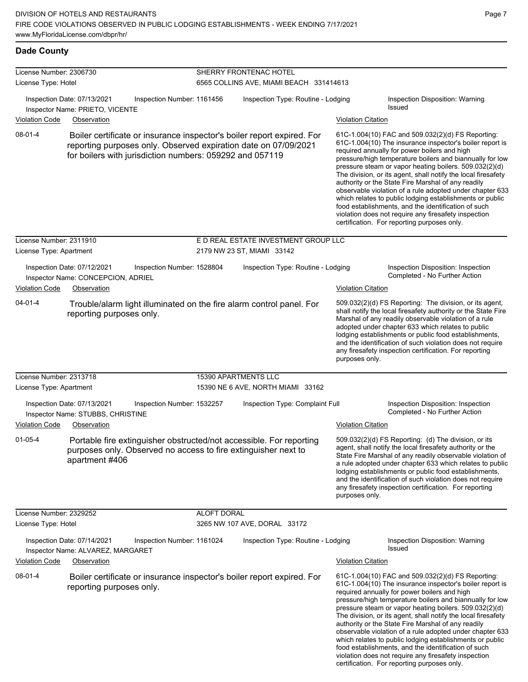| License Number: 2306730 |                                                                                                                                                                                                       |                            | SHERRY FRONTENAC HOTEL                  |                           |                                                                                                                                                                                                                                                                                                                                                                                                                                                                                                                                                                                                                                                                                                  |  |  |
|-------------------------|-------------------------------------------------------------------------------------------------------------------------------------------------------------------------------------------------------|----------------------------|-----------------------------------------|---------------------------|--------------------------------------------------------------------------------------------------------------------------------------------------------------------------------------------------------------------------------------------------------------------------------------------------------------------------------------------------------------------------------------------------------------------------------------------------------------------------------------------------------------------------------------------------------------------------------------------------------------------------------------------------------------------------------------------------|--|--|
| License Type: Hotel     |                                                                                                                                                                                                       |                            | 6565 COLLINS AVE, MIAMI BEACH 331414613 |                           |                                                                                                                                                                                                                                                                                                                                                                                                                                                                                                                                                                                                                                                                                                  |  |  |
|                         | Inspection Date: 07/13/2021<br>Inspector Name: PRIETO, VICENTE                                                                                                                                        | Inspection Number: 1161456 | Inspection Type: Routine - Lodging      |                           | Inspection Disposition: Warning<br><b>Issued</b>                                                                                                                                                                                                                                                                                                                                                                                                                                                                                                                                                                                                                                                 |  |  |
| <b>Violation Code</b>   | Observation                                                                                                                                                                                           |                            |                                         | <b>Violation Citation</b> |                                                                                                                                                                                                                                                                                                                                                                                                                                                                                                                                                                                                                                                                                                  |  |  |
| 08-01-4                 | Boiler certificate or insurance inspector's boiler report expired. For<br>reporting purposes only. Observed expiration date on 07/09/2021<br>for boilers with jurisdiction numbers: 059292 and 057119 |                            |                                         |                           | 61C-1.004(10) FAC and 509.032(2)(d) FS Reporting:<br>61C-1.004(10) The insurance inspector's boiler report is<br>required annually for power boilers and high<br>pressure/high temperature boilers and biannually for low<br>pressure steam or vapor heating boilers. 509.032(2)(d)<br>The division, or its agent, shall notify the local firesafety<br>authority or the State Fire Marshal of any readily<br>observable violation of a rule adopted under chapter 633<br>which relates to public lodging establishments or public<br>food establishments, and the identification of such<br>violation does not require any firesafety inspection<br>certification. For reporting purposes only. |  |  |
| License Number: 2311910 |                                                                                                                                                                                                       |                            | E D REAL ESTATE INVESTMENT GROUP LLC    |                           |                                                                                                                                                                                                                                                                                                                                                                                                                                                                                                                                                                                                                                                                                                  |  |  |
| License Type: Apartment |                                                                                                                                                                                                       |                            | 2179 NW 23 ST, MIAMI 33142              |                           |                                                                                                                                                                                                                                                                                                                                                                                                                                                                                                                                                                                                                                                                                                  |  |  |
|                         | Inspection Date: 07/12/2021<br>Inspector Name: CONCEPCION, ADRIEL                                                                                                                                     | Inspection Number: 1528804 | Inspection Type: Routine - Lodging      |                           | Inspection Disposition: Inspection<br>Completed - No Further Action                                                                                                                                                                                                                                                                                                                                                                                                                                                                                                                                                                                                                              |  |  |
| <b>Violation Code</b>   | Observation                                                                                                                                                                                           |                            |                                         | <b>Violation Citation</b> |                                                                                                                                                                                                                                                                                                                                                                                                                                                                                                                                                                                                                                                                                                  |  |  |
| $04 - 01 - 4$           | Trouble/alarm light illuminated on the fire alarm control panel. For<br>reporting purposes only.                                                                                                      |                            |                                         | purposes only.            | 509.032(2)(d) FS Reporting: The division, or its agent,<br>shall notify the local firesafety authority or the State Fire<br>Marshal of any readily observable violation of a rule<br>adopted under chapter 633 which relates to public<br>lodging establishments or public food establishments,<br>and the identification of such violation does not require<br>any firesafety inspection certification. For reporting                                                                                                                                                                                                                                                                           |  |  |
| License Number: 2313718 |                                                                                                                                                                                                       |                            | 15390 APARTMENTS LLC                    |                           |                                                                                                                                                                                                                                                                                                                                                                                                                                                                                                                                                                                                                                                                                                  |  |  |
| License Type: Apartment |                                                                                                                                                                                                       |                            | 15390 NE 6 AVE, NORTH MIAMI 33162       |                           |                                                                                                                                                                                                                                                                                                                                                                                                                                                                                                                                                                                                                                                                                                  |  |  |
|                         | Inspection Date: 07/13/2021<br>Inspector Name: STUBBS, CHRISTINE                                                                                                                                      | Inspection Number: 1532257 | Inspection Type: Complaint Full         |                           | Inspection Disposition: Inspection<br>Completed - No Further Action                                                                                                                                                                                                                                                                                                                                                                                                                                                                                                                                                                                                                              |  |  |
| <b>Violation Code</b>   | Observation                                                                                                                                                                                           |                            |                                         | <b>Violation Citation</b> |                                                                                                                                                                                                                                                                                                                                                                                                                                                                                                                                                                                                                                                                                                  |  |  |
| $01 - 05 - 4$           | Portable fire extinguisher obstructed/not accessible. For reporting<br>purposes only. Observed no access to fire extinguisher next to<br>apartment #406                                               |                            |                                         | purposes only.            | 509.032(2)(d) FS Reporting: (d) The division, or its<br>agent, shall notify the local firesafety authority or the<br>State Fire Marshal of any readily observable violation of<br>a rule adopted under chapter 633 which relates to public<br>lodging establishments or public food establishments,<br>and the identification of such violation does not require<br>any firesafety inspection certification. For reporting                                                                                                                                                                                                                                                                       |  |  |
| License Number: 2329252 |                                                                                                                                                                                                       | <b>ALOFT DORAL</b>         |                                         |                           |                                                                                                                                                                                                                                                                                                                                                                                                                                                                                                                                                                                                                                                                                                  |  |  |
| License Type: Hotel     |                                                                                                                                                                                                       |                            | 3265 NW 107 AVE, DORAL 33172            |                           |                                                                                                                                                                                                                                                                                                                                                                                                                                                                                                                                                                                                                                                                                                  |  |  |
| <b>Violation Code</b>   | Inspection Date: 07/14/2021<br>Inspector Name: ALVAREZ, MARGARET<br>Observation                                                                                                                       | Inspection Number: 1161024 | Inspection Type: Routine - Lodging      | <b>Violation Citation</b> | Inspection Disposition: Warning<br>Issued                                                                                                                                                                                                                                                                                                                                                                                                                                                                                                                                                                                                                                                        |  |  |
| 08-01-4                 | Boiler certificate or insurance inspector's boiler report expired. For<br>reporting purposes only.                                                                                                    |                            |                                         |                           | 61C-1.004(10) FAC and 509.032(2)(d) FS Reporting:<br>61C-1.004(10) The insurance inspector's boiler report is<br>required annually for power boilers and high<br>pressure/high temperature boilers and biannually for low<br>pressure steam or vapor heating boilers. 509.032(2)(d)<br>The division, or its agent, shall notify the local firesafety<br>authority or the State Fire Marshal of any readily<br>observable violation of a rule adopted under chapter 633<br>which relates to public lodging establishments or public<br>food establishments, and the identification of such<br>violation does not require any firesafety inspection                                                |  |  |

certification. For reporting purposes only.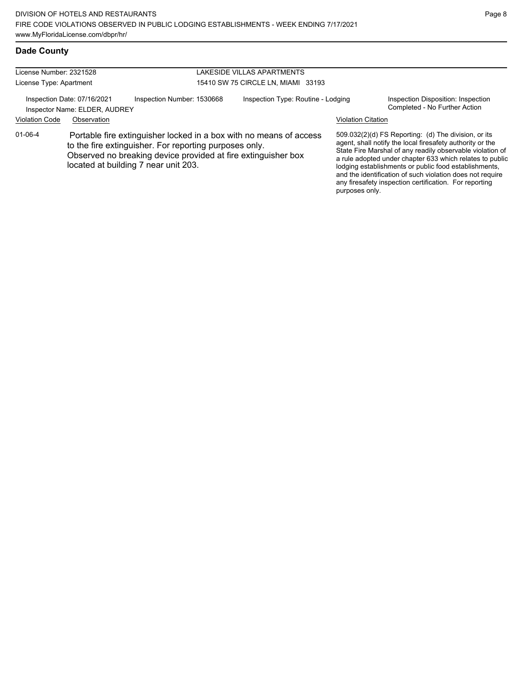| License Number: 2321528 |                                                              |                                                                                                                                                                                                                                       | LAKESIDE VILLAS APARTMENTS         |                           |                                                                                                                                                                                                                                                                                                                                                                                                                            |
|-------------------------|--------------------------------------------------------------|---------------------------------------------------------------------------------------------------------------------------------------------------------------------------------------------------------------------------------------|------------------------------------|---------------------------|----------------------------------------------------------------------------------------------------------------------------------------------------------------------------------------------------------------------------------------------------------------------------------------------------------------------------------------------------------------------------------------------------------------------------|
| License Type: Apartment |                                                              |                                                                                                                                                                                                                                       | 15410 SW 75 CIRCLE LN. MIAMI 33193 |                           |                                                                                                                                                                                                                                                                                                                                                                                                                            |
|                         | Inspection Date: 07/16/2021<br>Inspector Name: ELDER, AUDREY | Inspection Number: 1530668                                                                                                                                                                                                            | Inspection Type: Routine - Lodging |                           | Inspection Disposition: Inspection<br>Completed - No Further Action                                                                                                                                                                                                                                                                                                                                                        |
| <b>Violation Code</b>   | Observation                                                  |                                                                                                                                                                                                                                       |                                    | <b>Violation Citation</b> |                                                                                                                                                                                                                                                                                                                                                                                                                            |
| $01 - 06 - 4$           |                                                              | Portable fire extinguisher locked in a box with no means of access<br>to the fire extinguisher. For reporting purposes only.<br>Observed no breaking device provided at fire extinguisher box<br>located at building 7 near unit 203. |                                    | purposes only.            | 509.032(2)(d) FS Reporting: (d) The division, or its<br>agent, shall notify the local firesafety authority or the<br>State Fire Marshal of any readily observable violation of<br>a rule adopted under chapter 633 which relates to public<br>lodging establishments or public food establishments,<br>and the identification of such violation does not require<br>any firesafety inspection certification. For reporting |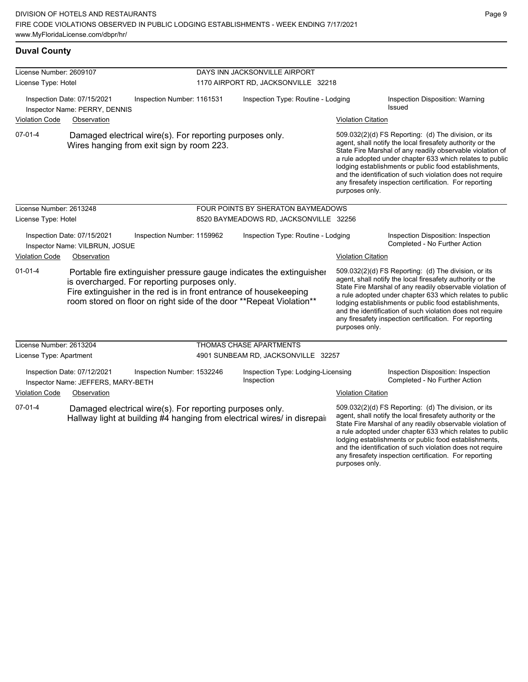| License Number: 2609107<br>License Type: Hotel               |                                                                   |                                                                                                                   | DAYS INN JACKSONVILLE AIRPORT      |                                                                                                                                              |                           |                                                                                                                                                                                                                                                                                                                                                                                                                            |  |
|--------------------------------------------------------------|-------------------------------------------------------------------|-------------------------------------------------------------------------------------------------------------------|------------------------------------|----------------------------------------------------------------------------------------------------------------------------------------------|---------------------------|----------------------------------------------------------------------------------------------------------------------------------------------------------------------------------------------------------------------------------------------------------------------------------------------------------------------------------------------------------------------------------------------------------------------------|--|
|                                                              |                                                                   |                                                                                                                   |                                    | 1170 AIRPORT RD, JACKSONVILLE 32218                                                                                                          |                           |                                                                                                                                                                                                                                                                                                                                                                                                                            |  |
| Inspection Date: 07/15/2021<br>Inspector Name: PERRY, DENNIS |                                                                   | Inspection Number: 1161531                                                                                        | Inspection Type: Routine - Lodging |                                                                                                                                              |                           | Inspection Disposition: Warning<br>Issued                                                                                                                                                                                                                                                                                                                                                                                  |  |
| <b>Violation Code</b>                                        | Observation                                                       |                                                                                                                   |                                    |                                                                                                                                              | <b>Violation Citation</b> |                                                                                                                                                                                                                                                                                                                                                                                                                            |  |
| $07 - 01 - 4$                                                |                                                                   | Damaged electrical wire(s). For reporting purposes only.<br>Wires hanging from exit sign by room 223.             |                                    |                                                                                                                                              | purposes only.            | 509.032(2)(d) FS Reporting: (d) The division, or its<br>agent, shall notify the local firesafety authority or the<br>State Fire Marshal of any readily observable violation of<br>a rule adopted under chapter 633 which relates to public<br>lodging establishments or public food establishments,<br>and the identification of such violation does not require<br>any firesafety inspection certification. For reporting |  |
| License Number: 2613248                                      |                                                                   |                                                                                                                   |                                    | FOUR POINTS BY SHERATON BAYMEADOWS                                                                                                           |                           |                                                                                                                                                                                                                                                                                                                                                                                                                            |  |
| License Type: Hotel                                          |                                                                   |                                                                                                                   |                                    | 8520 BAYMEADOWS RD, JACKSONVILLE 32256                                                                                                       |                           |                                                                                                                                                                                                                                                                                                                                                                                                                            |  |
|                                                              | Inspection Date: 07/15/2021<br>Inspector Name: VILBRUN, JOSUE     | Inspection Number: 1159962                                                                                        |                                    | Inspection Type: Routine - Lodging                                                                                                           |                           | Inspection Disposition: Inspection<br>Completed - No Further Action                                                                                                                                                                                                                                                                                                                                                        |  |
| <b>Violation Code</b>                                        | Observation                                                       |                                                                                                                   |                                    |                                                                                                                                              | <b>Violation Citation</b> |                                                                                                                                                                                                                                                                                                                                                                                                                            |  |
| $01 - 01 - 4$                                                |                                                                   | is overcharged. For reporting purposes only.<br>Fire extinguisher in the red is in front entrance of housekeeping |                                    | Portable fire extinguisher pressure gauge indicates the extinguisher<br>room stored on floor on right side of the door ** Repeat Violation** | purposes only.            | 509.032(2)(d) FS Reporting: (d) The division, or its<br>agent, shall notify the local firesafety authority or the<br>State Fire Marshal of any readily observable violation of<br>a rule adopted under chapter 633 which relates to public<br>lodging establishments or public food establishments,<br>and the identification of such violation does not require<br>any firesafety inspection certification. For reporting |  |
| License Number: 2613204                                      |                                                                   |                                                                                                                   |                                    | THOMAS CHASE APARTMENTS                                                                                                                      |                           |                                                                                                                                                                                                                                                                                                                                                                                                                            |  |
| License Type: Apartment                                      |                                                                   |                                                                                                                   |                                    | 4901 SUNBEAM RD, JACKSONVILLE 32257                                                                                                          |                           |                                                                                                                                                                                                                                                                                                                                                                                                                            |  |
|                                                              | Inspection Date: 07/12/2021<br>Inspector Name: JEFFERS, MARY-BETH | Inspection Number: 1532246                                                                                        |                                    | Inspection Type: Lodging-Licensing<br>Inspection                                                                                             |                           | Inspection Disposition: Inspection<br>Completed - No Further Action                                                                                                                                                                                                                                                                                                                                                        |  |
| <b>Violation Code</b>                                        | Observation                                                       |                                                                                                                   |                                    |                                                                                                                                              | <b>Violation Citation</b> |                                                                                                                                                                                                                                                                                                                                                                                                                            |  |
| $07 - 01 - 4$                                                |                                                                   | Damaged electrical wire(s). For reporting purposes only.                                                          |                                    | Hallway light at building #4 hanging from electrical wires/ in disrepair                                                                     |                           | 509.032(2)(d) FS Reporting: (d) The division, or its<br>agent, shall notify the local firesafety authority or the<br>State Fire Marshal of any readily observable violation of<br>a rule adopted under chapter 633 which relates to public<br>lodging establishments or public food establishments,                                                                                                                        |  |

and the identification of such violation does not require any firesafety inspection certification. For reporting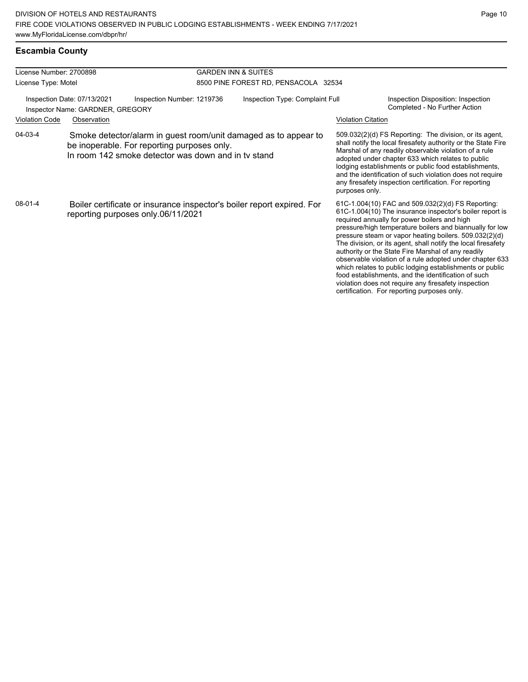# **Escambia County**

| License Number: 2700898 |                                                                 |                                                                                                                                                                       | <b>GARDEN INN &amp; SUITES</b>       |                                                                                                                                                                                                                                                                                                                                                                                                                                                                                                                                                                                                                                                                                                  |  |  |  |
|-------------------------|-----------------------------------------------------------------|-----------------------------------------------------------------------------------------------------------------------------------------------------------------------|--------------------------------------|--------------------------------------------------------------------------------------------------------------------------------------------------------------------------------------------------------------------------------------------------------------------------------------------------------------------------------------------------------------------------------------------------------------------------------------------------------------------------------------------------------------------------------------------------------------------------------------------------------------------------------------------------------------------------------------------------|--|--|--|
| License Type: Motel     |                                                                 |                                                                                                                                                                       | 8500 PINE FOREST RD, PENSACOLA 32534 |                                                                                                                                                                                                                                                                                                                                                                                                                                                                                                                                                                                                                                                                                                  |  |  |  |
|                         | Inspection Date: 07/13/2021<br>Inspector Name: GARDNER, GREGORY | Inspection Number: 1219736                                                                                                                                            | Inspection Type: Complaint Full      | Inspection Disposition: Inspection<br>Completed - No Further Action                                                                                                                                                                                                                                                                                                                                                                                                                                                                                                                                                                                                                              |  |  |  |
| <b>Violation Code</b>   | Observation                                                     |                                                                                                                                                                       |                                      | <b>Violation Citation</b>                                                                                                                                                                                                                                                                                                                                                                                                                                                                                                                                                                                                                                                                        |  |  |  |
| 04-03-4                 |                                                                 | Smoke detector/alarm in guest room/unit damaged as to appear to<br>be inoperable. For reporting purposes only.<br>In room 142 smoke detector was down and in ty stand |                                      | 509.032(2)(d) FS Reporting: The division, or its agent,<br>shall notify the local firesafety authority or the State Fire<br>Marshal of any readily observable violation of a rule<br>adopted under chapter 633 which relates to public<br>lodging establishments or public food establishments,<br>and the identification of such violation does not require<br>any firesafety inspection certification. For reporting<br>purposes only.                                                                                                                                                                                                                                                         |  |  |  |
| $08-01-4$               |                                                                 | Boiler certificate or insurance inspector's boiler report expired. For<br>reporting purposes only.06/11/2021                                                          |                                      | 61C-1.004(10) FAC and 509.032(2)(d) FS Reporting:<br>61C-1.004(10) The insurance inspector's boiler report is<br>required annually for power boilers and high<br>pressure/high temperature boilers and biannually for low<br>pressure steam or vapor heating boilers. 509.032(2)(d)<br>The division, or its agent, shall notify the local firesafety<br>authority or the State Fire Marshal of any readily<br>observable violation of a rule adopted under chapter 633<br>which relates to public lodging establishments or public<br>food establishments, and the identification of such<br>violation does not require any firesafety inspection<br>certification. For reporting purposes only. |  |  |  |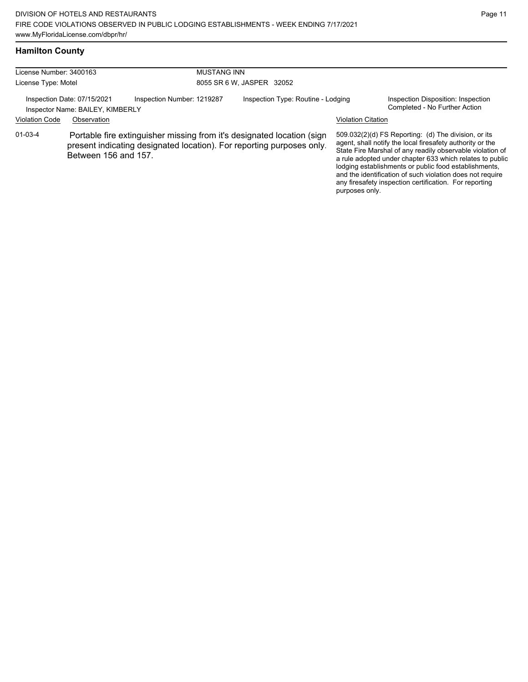## **Hamilton County**

| License Number: 3400163 |                                                                 | <b>MUSTANG INN</b>                                                                                                                              |                                    |                           |                                                                                                                                                                                                                                                                                                                                                                                                                            |
|-------------------------|-----------------------------------------------------------------|-------------------------------------------------------------------------------------------------------------------------------------------------|------------------------------------|---------------------------|----------------------------------------------------------------------------------------------------------------------------------------------------------------------------------------------------------------------------------------------------------------------------------------------------------------------------------------------------------------------------------------------------------------------------|
| License Type: Motel     |                                                                 |                                                                                                                                                 | 8055 SR 6 W, JASPER 32052          |                           |                                                                                                                                                                                                                                                                                                                                                                                                                            |
|                         | Inspection Date: 07/15/2021<br>Inspector Name: BAILEY, KIMBERLY | Inspection Number: 1219287                                                                                                                      | Inspection Type: Routine - Lodging |                           | Inspection Disposition: Inspection<br>Completed - No Further Action                                                                                                                                                                                                                                                                                                                                                        |
| <b>Violation Code</b>   | Observation                                                     |                                                                                                                                                 |                                    | <b>Violation Citation</b> |                                                                                                                                                                                                                                                                                                                                                                                                                            |
| $01 - 03 - 4$           | Between 156 and 157.                                            | Portable fire extinguisher missing from it's designated location (sign<br>present indicating designated location). For reporting purposes only. |                                    | purposes only.            | 509.032(2)(d) FS Reporting: (d) The division, or its<br>agent, shall notify the local firesafety authority or the<br>State Fire Marshal of any readily observable violation of<br>a rule adopted under chapter 633 which relates to public<br>lodging establishments or public food establishments,<br>and the identification of such violation does not require<br>any firesafety inspection certification. For reporting |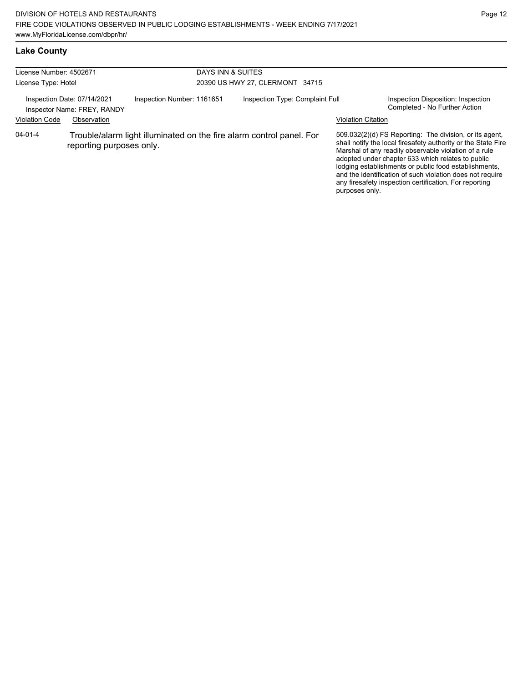## **Lake County**

| License Number: 4502671                                    |                          | DAYS INN & SUITES               |  |                                                                      |                           |                                                                                                                                                                                                                                                                                                                                                                                                                        |
|------------------------------------------------------------|--------------------------|---------------------------------|--|----------------------------------------------------------------------|---------------------------|------------------------------------------------------------------------------------------------------------------------------------------------------------------------------------------------------------------------------------------------------------------------------------------------------------------------------------------------------------------------------------------------------------------------|
| License Type: Hotel                                        |                          | 20390 US HWY 27, CLERMONT 34715 |  |                                                                      |                           |                                                                                                                                                                                                                                                                                                                                                                                                                        |
| Inspection Date: 07/14/2021<br>Inspector Name: FREY, RANDY |                          | Inspection Number: 1161651      |  | Inspection Type: Complaint Full                                      |                           | Inspection Disposition: Inspection<br>Completed - No Further Action                                                                                                                                                                                                                                                                                                                                                    |
| <b>Violation Code</b>                                      | Observation              |                                 |  |                                                                      | <b>Violation Citation</b> |                                                                                                                                                                                                                                                                                                                                                                                                                        |
| $04 - 01 - 4$                                              | reporting purposes only. |                                 |  | Trouble/alarm light illuminated on the fire alarm control panel. For | purposes only.            | 509.032(2)(d) FS Reporting: The division, or its agent,<br>shall notify the local firesafety authority or the State Fire<br>Marshal of any readily observable violation of a rule<br>adopted under chapter 633 which relates to public<br>lodging establishments or public food establishments,<br>and the identification of such violation does not require<br>any firesafety inspection certification. For reporting |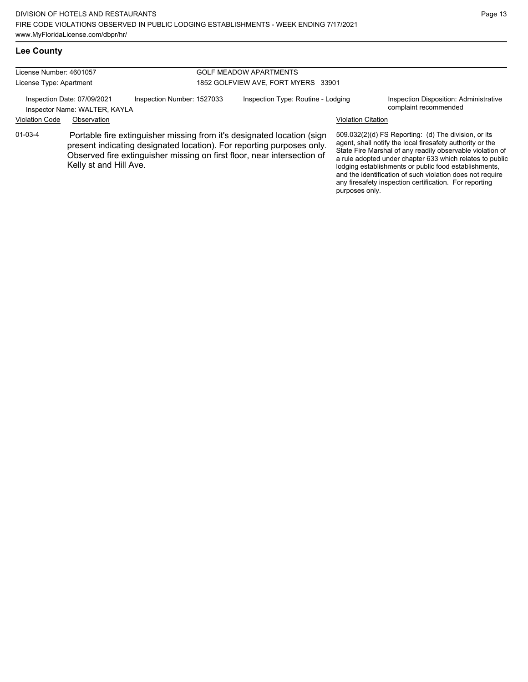### **Lee County**

| License Number: 4601057                                      |                        |                                                                                                                                                                                                                            | <b>GOLF MEADOW APARTMENTS</b>       |                           |                                                                                                                                                                                                                                                                                                                                                                                                                            |  |
|--------------------------------------------------------------|------------------------|----------------------------------------------------------------------------------------------------------------------------------------------------------------------------------------------------------------------------|-------------------------------------|---------------------------|----------------------------------------------------------------------------------------------------------------------------------------------------------------------------------------------------------------------------------------------------------------------------------------------------------------------------------------------------------------------------------------------------------------------------|--|
| License Type: Apartment                                      |                        |                                                                                                                                                                                                                            | 1852 GOLFVIEW AVE, FORT MYERS 33901 |                           |                                                                                                                                                                                                                                                                                                                                                                                                                            |  |
| Inspection Date: 07/09/2021<br>Inspector Name: WALTER, KAYLA |                        | Inspection Number: 1527033                                                                                                                                                                                                 | Inspection Type: Routine - Lodging  |                           | Inspection Disposition: Administrative<br>complaint recommended                                                                                                                                                                                                                                                                                                                                                            |  |
| <b>Violation Code</b>                                        | Observation            |                                                                                                                                                                                                                            |                                     | <b>Violation Citation</b> |                                                                                                                                                                                                                                                                                                                                                                                                                            |  |
| $01 - 03 - 4$                                                | Kelly st and Hill Ave. | Portable fire extinguisher missing from it's designated location (sign<br>present indicating designated location). For reporting purposes only.<br>Observed fire extinguisher missing on first floor, near intersection of |                                     |                           | 509.032(2)(d) FS Reporting: (d) The division, or its<br>agent, shall notify the local firesafety authority or the<br>State Fire Marshal of any readily observable violation of<br>a rule adopted under chapter 633 which relates to public<br>lodging establishments or public food establishments,<br>and the identification of such violation does not require<br>any firesafety inspection certification. For reporting |  |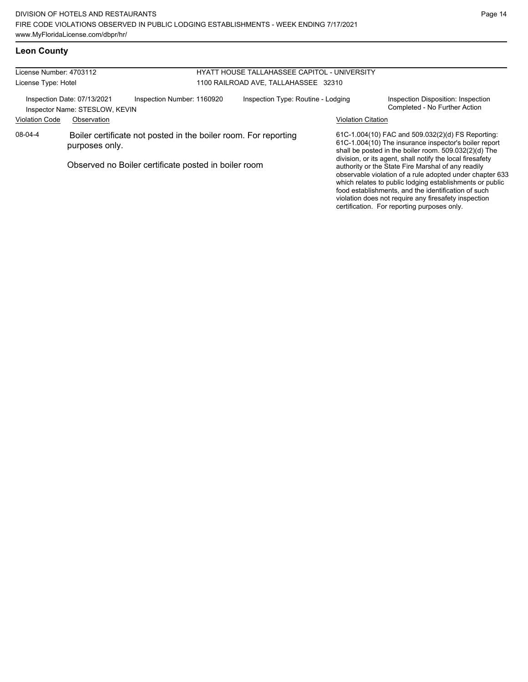### **Leon County**

| License Number: 4703112                              |                                                               |                                                                 | <b>HYATT HOUSE TALLAHASSEE CAPITOL - UNIVERSITY</b> |                           |                                                                                                                                                                                                                                                                                                                                                                                                       |
|------------------------------------------------------|---------------------------------------------------------------|-----------------------------------------------------------------|-----------------------------------------------------|---------------------------|-------------------------------------------------------------------------------------------------------------------------------------------------------------------------------------------------------------------------------------------------------------------------------------------------------------------------------------------------------------------------------------------------------|
| License Type: Hotel                                  |                                                               |                                                                 | 1100 RAILROAD AVE, TALLAHASSEE 32310                |                           |                                                                                                                                                                                                                                                                                                                                                                                                       |
|                                                      | Inspection Date: 07/13/2021<br>Inspector Name: STESLOW, KEVIN | Inspection Number: 1160920                                      | Inspection Type: Routine - Lodging                  |                           | Inspection Disposition: Inspection<br>Completed - No Further Action                                                                                                                                                                                                                                                                                                                                   |
| <b>Violation Code</b>                                | Observation                                                   |                                                                 |                                                     | <b>Violation Citation</b> |                                                                                                                                                                                                                                                                                                                                                                                                       |
| 08-04-4                                              | purposes only.                                                | Boiler certificate not posted in the boiler room. For reporting |                                                     |                           | 61C-1.004(10) FAC and 509.032(2)(d) FS Reporting:<br>61C-1.004(10) The insurance inspector's boiler report<br>shall be posted in the boiler room. 509.032(2)(d) The                                                                                                                                                                                                                                   |
| Observed no Boiler certificate posted in boiler room |                                                               |                                                                 |                                                     |                           | division, or its agent, shall notify the local firesafety<br>authority or the State Fire Marshal of any readily<br>observable violation of a rule adopted under chapter 633<br>which relates to public lodging establishments or public<br>food establishments, and the identification of such<br>violation does not require any firesafety inspection<br>certification. For reporting purposes only. |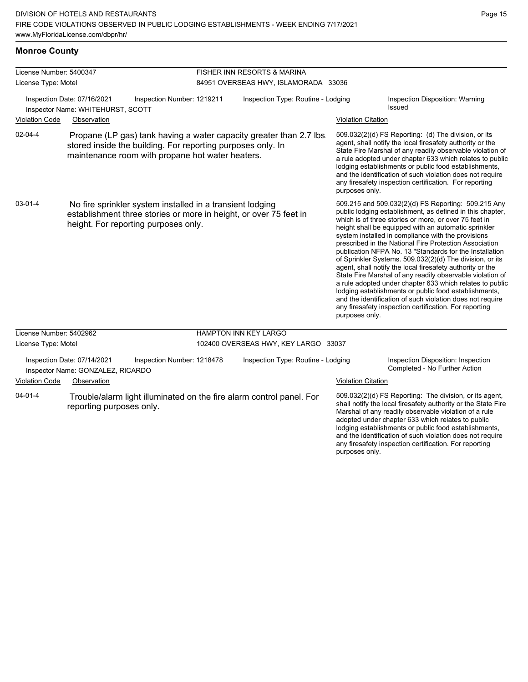lodging establishments or public food establishments, and the identification of such violation does not require any firesafety inspection certification. For reporting

purposes only.

#### **Monroe County**

| License Number: 5400347 |                                                                  |                                                                                                                                                                                       |                                      | <b>FISHER INN RESORTS &amp; MARINA</b> |  |                           |                                                                                                                                                                                                                                                                                                                                                                                                                                                                                                                                                                                                                                                                                                                                                                                                                                                |
|-------------------------|------------------------------------------------------------------|---------------------------------------------------------------------------------------------------------------------------------------------------------------------------------------|--------------------------------------|----------------------------------------|--|---------------------------|------------------------------------------------------------------------------------------------------------------------------------------------------------------------------------------------------------------------------------------------------------------------------------------------------------------------------------------------------------------------------------------------------------------------------------------------------------------------------------------------------------------------------------------------------------------------------------------------------------------------------------------------------------------------------------------------------------------------------------------------------------------------------------------------------------------------------------------------|
| License Type: Motel     |                                                                  |                                                                                                                                                                                       | 84951 OVERSEAS HWY, ISLAMORADA 33036 |                                        |  |                           |                                                                                                                                                                                                                                                                                                                                                                                                                                                                                                                                                                                                                                                                                                                                                                                                                                                |
|                         | Inspection Date: 07/16/2021<br>Inspector Name: WHITEHURST, SCOTT | Inspection Number: 1219211                                                                                                                                                            |                                      | Inspection Type: Routine - Lodging     |  |                           | Inspection Disposition: Warning<br><b>Issued</b>                                                                                                                                                                                                                                                                                                                                                                                                                                                                                                                                                                                                                                                                                                                                                                                               |
| <b>Violation Code</b>   | Observation                                                      |                                                                                                                                                                                       |                                      |                                        |  | <b>Violation Citation</b> |                                                                                                                                                                                                                                                                                                                                                                                                                                                                                                                                                                                                                                                                                                                                                                                                                                                |
| $02 - 04 - 4$           |                                                                  | Propane (LP gas) tank having a water capacity greater than 2.7 lbs<br>stored inside the building. For reporting purposes only. In<br>maintenance room with propane hot water heaters. |                                      |                                        |  | purposes only.            | 509.032(2)(d) FS Reporting: (d) The division, or its<br>agent, shall notify the local firesafety authority or the<br>State Fire Marshal of any readily observable violation of<br>a rule adopted under chapter 633 which relates to public<br>lodging establishments or public food establishments,<br>and the identification of such violation does not require<br>any firesafety inspection certification. For reporting                                                                                                                                                                                                                                                                                                                                                                                                                     |
| $03 - 01 - 4$           |                                                                  | No fire sprinkler system installed in a transient lodging<br>establishment three stories or more in height, or over 75 feet in<br>height. For reporting purposes only.                |                                      |                                        |  | purposes only.            | 509.215 and 509.032(2)(d) FS Reporting: 509.215 Any<br>public lodging establishment, as defined in this chapter,<br>which is of three stories or more, or over 75 feet in<br>height shall be equipped with an automatic sprinkler<br>system installed in compliance with the provisions<br>prescribed in the National Fire Protection Association<br>publication NFPA No. 13 "Standards for the Installation<br>of Sprinkler Systems. 509.032(2)(d) The division, or its<br>agent, shall notify the local firesafety authority or the<br>State Fire Marshal of any readily observable violation of<br>a rule adopted under chapter 633 which relates to public<br>lodging establishments or public food establishments,<br>and the identification of such violation does not require<br>any firesafety inspection certification. For reporting |
| License Number: 5402962 |                                                                  |                                                                                                                                                                                       |                                      | HAMPTON INN KEY LARGO                  |  |                           |                                                                                                                                                                                                                                                                                                                                                                                                                                                                                                                                                                                                                                                                                                                                                                                                                                                |
| License Type: Motel     |                                                                  |                                                                                                                                                                                       |                                      | 102400 OVERSEAS HWY, KEY LARGO 33037   |  |                           |                                                                                                                                                                                                                                                                                                                                                                                                                                                                                                                                                                                                                                                                                                                                                                                                                                                |
|                         | Inspection Date: 07/14/2021<br>Inspector Name: GONZALEZ, RICARDO | Inspection Number: 1218478                                                                                                                                                            |                                      | Inspection Type: Routine - Lodging     |  |                           | Inspection Disposition: Inspection<br>Completed - No Further Action                                                                                                                                                                                                                                                                                                                                                                                                                                                                                                                                                                                                                                                                                                                                                                            |
| <b>Violation Code</b>   | Observation                                                      |                                                                                                                                                                                       |                                      |                                        |  | <b>Violation Citation</b> |                                                                                                                                                                                                                                                                                                                                                                                                                                                                                                                                                                                                                                                                                                                                                                                                                                                |
| $04 - 01 - 4$           | reporting purposes only.                                         | Trouble/alarm light illuminated on the fire alarm control panel. For                                                                                                                  |                                      |                                        |  |                           | 509.032(2)(d) FS Reporting: The division, or its agent,<br>shall notify the local firesafety authority or the State Fire<br>Marshal of any readily observable violation of a rule<br>adopted under chapter 633 which relates to public                                                                                                                                                                                                                                                                                                                                                                                                                                                                                                                                                                                                         |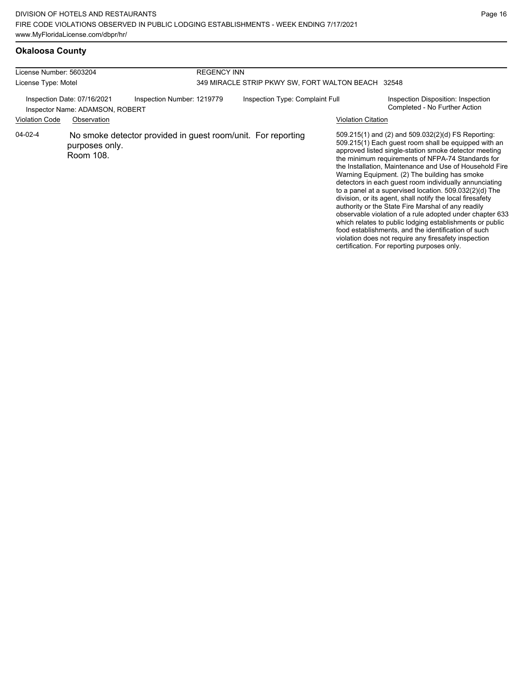### **Okaloosa County**

| License Number: 5603204                                        |                             | <b>REGENCY INN</b>                                           |                                                    |                           |                                                                                                                                                                                                                                                                                                                                                                                                                                                                                                                                                                                                                                                                                                                                                                                                                                                                     |  |  |
|----------------------------------------------------------------|-----------------------------|--------------------------------------------------------------|----------------------------------------------------|---------------------------|---------------------------------------------------------------------------------------------------------------------------------------------------------------------------------------------------------------------------------------------------------------------------------------------------------------------------------------------------------------------------------------------------------------------------------------------------------------------------------------------------------------------------------------------------------------------------------------------------------------------------------------------------------------------------------------------------------------------------------------------------------------------------------------------------------------------------------------------------------------------|--|--|
| License Type: Motel                                            |                             |                                                              | 349 MIRACLE STRIP PKWY SW, FORT WALTON BEACH 32548 |                           |                                                                                                                                                                                                                                                                                                                                                                                                                                                                                                                                                                                                                                                                                                                                                                                                                                                                     |  |  |
| Inspection Date: 07/16/2021<br>Inspector Name: ADAMSON, ROBERT |                             | Inspection Number: 1219779                                   | Inspection Type: Complaint Full                    |                           | Inspection Disposition: Inspection<br>Completed - No Further Action                                                                                                                                                                                                                                                                                                                                                                                                                                                                                                                                                                                                                                                                                                                                                                                                 |  |  |
| <b>Violation Code</b>                                          | Observation                 |                                                              |                                                    | <b>Violation Citation</b> |                                                                                                                                                                                                                                                                                                                                                                                                                                                                                                                                                                                                                                                                                                                                                                                                                                                                     |  |  |
| 04-02-4                                                        | purposes only.<br>Room 108. | No smoke detector provided in guest room/unit. For reporting |                                                    |                           | 509.215(1) and (2) and 509.032(2)(d) FS Reporting:<br>509.215(1) Each guest room shall be equipped with an<br>approved listed single-station smoke detector meeting<br>the minimum requirements of NFPA-74 Standards for<br>the Installation, Maintenance and Use of Household Fire<br>Warning Equipment. (2) The building has smoke<br>detectors in each guest room individually annunciating<br>to a panel at a supervised location. $509.032(2)(d)$ The<br>division, or its agent, shall notify the local firesafety<br>authority or the State Fire Marshal of any readily<br>observable violation of a rule adopted under chapter 633<br>which relates to public lodging establishments or public<br>food establishments, and the identification of such<br>violation does not require any firesafety inspection<br>certification. For reporting purposes only. |  |  |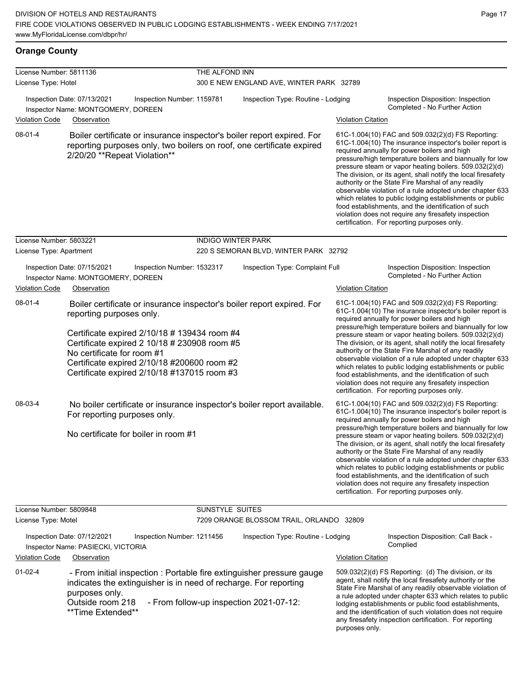#### **Orange County**

| License Number: 5811136 |                                                                   |                                                                                                                                                                                            | THE ALFOND INN            |                                                                                                                                                 |                           |                                                                                                                                                                                                                                                                                                                                                                                                                                                                                                                                                                                                                                                                                                  |
|-------------------------|-------------------------------------------------------------------|--------------------------------------------------------------------------------------------------------------------------------------------------------------------------------------------|---------------------------|-------------------------------------------------------------------------------------------------------------------------------------------------|---------------------------|--------------------------------------------------------------------------------------------------------------------------------------------------------------------------------------------------------------------------------------------------------------------------------------------------------------------------------------------------------------------------------------------------------------------------------------------------------------------------------------------------------------------------------------------------------------------------------------------------------------------------------------------------------------------------------------------------|
| License Type: Hotel     |                                                                   |                                                                                                                                                                                            |                           | 300 E NEW ENGLAND AVE, WINTER PARK 32789                                                                                                        |                           |                                                                                                                                                                                                                                                                                                                                                                                                                                                                                                                                                                                                                                                                                                  |
|                         | Inspection Date: 07/13/2021<br>Inspector Name: MONTGOMERY, DOREEN | Inspection Number: 1159781                                                                                                                                                                 |                           | Inspection Type: Routine - Lodging                                                                                                              |                           | Inspection Disposition: Inspection<br>Completed - No Further Action                                                                                                                                                                                                                                                                                                                                                                                                                                                                                                                                                                                                                              |
| <b>Violation Code</b>   | Observation                                                       |                                                                                                                                                                                            |                           |                                                                                                                                                 | <b>Violation Citation</b> |                                                                                                                                                                                                                                                                                                                                                                                                                                                                                                                                                                                                                                                                                                  |
| 08-01-4                 | 2/20/20 ** Repeat Violation**                                     |                                                                                                                                                                                            |                           | Boiler certificate or insurance inspector's boiler report expired. For<br>reporting purposes only, two boilers on roof, one certificate expired |                           | 61C-1.004(10) FAC and 509.032(2)(d) FS Reporting:<br>61C-1.004(10) The insurance inspector's boiler report is<br>required annually for power boilers and high<br>pressure/high temperature boilers and biannually for low<br>pressure steam or vapor heating boilers. 509.032(2)(d)<br>The division, or its agent, shall notify the local firesafety<br>authority or the State Fire Marshal of any readily<br>observable violation of a rule adopted under chapter 633<br>which relates to public lodging establishments or public<br>food establishments, and the identification of such<br>violation does not require any firesafety inspection<br>certification. For reporting purposes only. |
| License Number: 5803221 |                                                                   |                                                                                                                                                                                            | <b>INDIGO WINTER PARK</b> |                                                                                                                                                 |                           |                                                                                                                                                                                                                                                                                                                                                                                                                                                                                                                                                                                                                                                                                                  |
| License Type: Apartment |                                                                   |                                                                                                                                                                                            |                           | 220 S SEMORAN BLVD, WINTER PARK 32792                                                                                                           |                           |                                                                                                                                                                                                                                                                                                                                                                                                                                                                                                                                                                                                                                                                                                  |
|                         | Inspection Date: 07/15/2021<br>Inspector Name: MONTGOMERY, DOREEN | Inspection Number: 1532317                                                                                                                                                                 |                           | Inspection Type: Complaint Full                                                                                                                 |                           | Inspection Disposition: Inspection<br>Completed - No Further Action                                                                                                                                                                                                                                                                                                                                                                                                                                                                                                                                                                                                                              |
| <b>Violation Code</b>   | Observation                                                       |                                                                                                                                                                                            |                           |                                                                                                                                                 | <b>Violation Citation</b> |                                                                                                                                                                                                                                                                                                                                                                                                                                                                                                                                                                                                                                                                                                  |
| 08-01-4                 | reporting purposes only.<br>No certificate for room #1            | Certificate expired 2/10/18 # 139434 room #4<br>Certificate expired 2 10/18 # 230908 room #5<br>Certificate expired 2/10/18 #200600 room #2<br>Certificate expired 2/10/18 #137015 room #3 |                           | Boiler certificate or insurance inspector's boiler report expired. For                                                                          |                           | 61C-1.004(10) FAC and 509.032(2)(d) FS Reporting:<br>61C-1.004(10) The insurance inspector's boiler report is<br>required annually for power boilers and high<br>pressure/high temperature boilers and biannually for low<br>pressure steam or vapor heating boilers. 509.032(2)(d)<br>The division, or its agent, shall notify the local firesafety<br>authority or the State Fire Marshal of any readily<br>observable violation of a rule adopted under chapter 633<br>which relates to public lodging establishments or public<br>food establishments, and the identification of such<br>violation does not require any firesafety inspection<br>certification. For reporting purposes only. |
| 08-03-4                 | For reporting purposes only.                                      | No certificate for boiler in room #1                                                                                                                                                       |                           | No boiler certificate or insurance inspector's boiler report available.                                                                         |                           | 61C-1.004(10) FAC and 509.032(2)(d) FS Reporting:<br>61C-1.004(10) The insurance inspector's boiler report is<br>required annually for power boilers and high<br>pressure/high temperature boilers and biannually for low<br>pressure steam or vapor heating boilers. 509.032(2)(d)<br>The division, or its agent, shall notify the local firesafety<br>authority or the State Fire Marshal of any readily<br>observable violation of a rule adopted under chapter 633<br>which relates to public lodging establishments or public<br>food establishments, and the identification of such<br>violation does not require any firesafety inspection<br>certification. For reporting purposes only. |
| License Number: 5809848 |                                                                   |                                                                                                                                                                                            | SUNSTYLE SUITES           |                                                                                                                                                 |                           |                                                                                                                                                                                                                                                                                                                                                                                                                                                                                                                                                                                                                                                                                                  |
| License Type: Motel     |                                                                   |                                                                                                                                                                                            |                           | 7209 ORANGE BLOSSOM TRAIL, ORLANDO 32809                                                                                                        |                           |                                                                                                                                                                                                                                                                                                                                                                                                                                                                                                                                                                                                                                                                                                  |
|                         | Inspection Date: 07/12/2021<br>Inspector Name: PASIECKI, VICTORIA | Inspection Number: 1211456                                                                                                                                                                 |                           | Inspection Type: Routine - Lodging                                                                                                              |                           | Inspection Disposition: Call Back -<br>Complied                                                                                                                                                                                                                                                                                                                                                                                                                                                                                                                                                                                                                                                  |
| <b>Violation Code</b>   | Observation                                                       |                                                                                                                                                                                            |                           |                                                                                                                                                 | <b>Violation Citation</b> |                                                                                                                                                                                                                                                                                                                                                                                                                                                                                                                                                                                                                                                                                                  |
| $01-02-4$               | purposes only.<br>Outside room 218<br>**Time Extended**           | indicates the extinguisher is in need of recharge. For reporting                                                                                                                           |                           | - From initial inspection : Portable fire extinguisher pressure gauge<br>- From follow-up inspection 2021-07-12:                                |                           | 509.032(2)(d) FS Reporting: (d) The division, or its<br>agent, shall notify the local firesafety authority or the<br>State Fire Marshal of any readily observable violation of<br>a rule adopted under chapter 633 which relates to public<br>lodging establishments or public food establishments,<br>and the identification of such violation does not require<br>any firesafety inspection certification. For reporting                                                                                                                                                                                                                                                                       |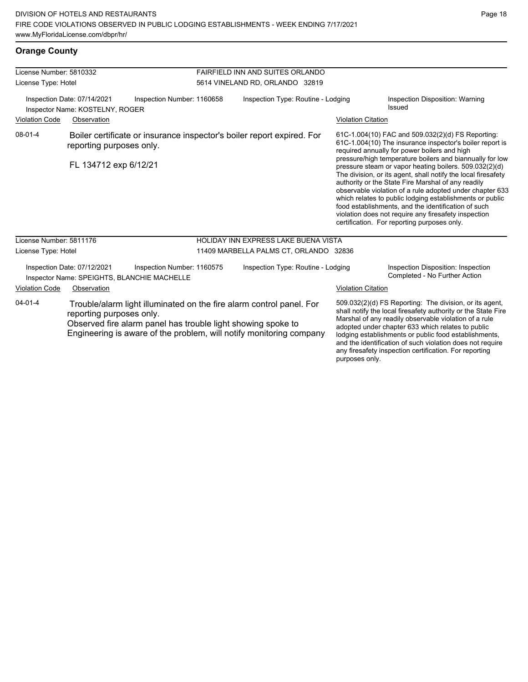| License Number: 5810332 |                                                                            |                                                                                                                                                                                                             | FAIRFIELD INN AND SUITES ORLANDO       |                           |                                                                                                                                                                                                                                                                                                                                                                                                                                                                                                                                                                                                                                                                                                  |  |
|-------------------------|----------------------------------------------------------------------------|-------------------------------------------------------------------------------------------------------------------------------------------------------------------------------------------------------------|----------------------------------------|---------------------------|--------------------------------------------------------------------------------------------------------------------------------------------------------------------------------------------------------------------------------------------------------------------------------------------------------------------------------------------------------------------------------------------------------------------------------------------------------------------------------------------------------------------------------------------------------------------------------------------------------------------------------------------------------------------------------------------------|--|
| License Type: Hotel     |                                                                            |                                                                                                                                                                                                             | 5614 VINELAND RD, ORLANDO 32819        |                           |                                                                                                                                                                                                                                                                                                                                                                                                                                                                                                                                                                                                                                                                                                  |  |
|                         | Inspection Date: 07/14/2021<br>Inspector Name: KOSTELNY, ROGER             | Inspection Number: 1160658                                                                                                                                                                                  | Inspection Type: Routine - Lodging     |                           | Inspection Disposition: Warning<br>Issued                                                                                                                                                                                                                                                                                                                                                                                                                                                                                                                                                                                                                                                        |  |
| <b>Violation Code</b>   | Observation                                                                |                                                                                                                                                                                                             |                                        | <b>Violation Citation</b> |                                                                                                                                                                                                                                                                                                                                                                                                                                                                                                                                                                                                                                                                                                  |  |
| $08 - 01 - 4$           | reporting purposes only.<br>FL 134712 exp 6/12/21                          | Boiler certificate or insurance inspector's boiler report expired. For                                                                                                                                      |                                        |                           | 61C-1.004(10) FAC and 509.032(2)(d) FS Reporting:<br>61C-1.004(10) The insurance inspector's boiler report is<br>required annually for power boilers and high<br>pressure/high temperature boilers and biannually for low<br>pressure steam or vapor heating boilers. 509.032(2)(d)<br>The division, or its agent, shall notify the local firesafety<br>authority or the State Fire Marshal of any readily<br>observable violation of a rule adopted under chapter 633<br>which relates to public lodging establishments or public<br>food establishments, and the identification of such<br>violation does not require any firesafety inspection<br>certification. For reporting purposes only. |  |
| License Number: 5811176 |                                                                            |                                                                                                                                                                                                             | HOLIDAY INN EXPRESS LAKE BUENA VISTA   |                           |                                                                                                                                                                                                                                                                                                                                                                                                                                                                                                                                                                                                                                                                                                  |  |
| License Type: Hotel     |                                                                            |                                                                                                                                                                                                             | 11409 MARBELLA PALMS CT, ORLANDO 32836 |                           |                                                                                                                                                                                                                                                                                                                                                                                                                                                                                                                                                                                                                                                                                                  |  |
|                         | Inspection Date: 07/12/2021<br>Inspector Name: SPEIGHTS, BLANCHIE MACHELLE | Inspection Number: 1160575                                                                                                                                                                                  | Inspection Type: Routine - Lodging     |                           | Inspection Disposition: Inspection<br>Completed - No Further Action                                                                                                                                                                                                                                                                                                                                                                                                                                                                                                                                                                                                                              |  |
| <b>Violation Code</b>   | Observation                                                                |                                                                                                                                                                                                             |                                        | <b>Violation Citation</b> |                                                                                                                                                                                                                                                                                                                                                                                                                                                                                                                                                                                                                                                                                                  |  |
| $04 - 01 - 4$           | reporting purposes only.                                                   | Trouble/alarm light illuminated on the fire alarm control panel. For<br>Observed fire alarm panel has trouble light showing spoke to<br>Engineering is aware of the problem, will notify monitoring company |                                        |                           | 509.032(2)(d) FS Reporting: The division, or its agent,<br>shall notify the local firesafety authority or the State Fire<br>Marshal of any readily observable violation of a rule<br>adopted under chapter 633 which relates to public<br>lodging establishments or public food establishments,                                                                                                                                                                                                                                                                                                                                                                                                  |  |

and the identification of such violation does not require any firesafety inspection certification. For reporting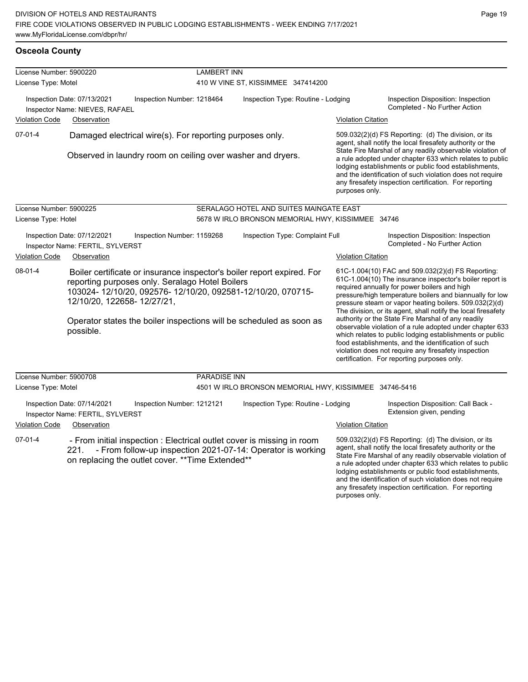| <b>Osceola County</b> |  |
|-----------------------|--|
|-----------------------|--|

| License Number: 5900220 |                                                                 | <b>LAMBERT INN</b>                                                                                                                                                                         |                                                                                                                                                                                                             |                           |                                                                                                                                                                                                                                                                                                                                                                                                                                                                        |
|-------------------------|-----------------------------------------------------------------|--------------------------------------------------------------------------------------------------------------------------------------------------------------------------------------------|-------------------------------------------------------------------------------------------------------------------------------------------------------------------------------------------------------------|---------------------------|------------------------------------------------------------------------------------------------------------------------------------------------------------------------------------------------------------------------------------------------------------------------------------------------------------------------------------------------------------------------------------------------------------------------------------------------------------------------|
| License Type: Motel     |                                                                 |                                                                                                                                                                                            | 410 W VINE ST, KISSIMMEE 347414200                                                                                                                                                                          |                           |                                                                                                                                                                                                                                                                                                                                                                                                                                                                        |
|                         | Inspection Date: 07/13/2021<br>Inspector Name: NIEVES, RAFAEL   | Inspection Number: 1218464                                                                                                                                                                 | Inspection Type: Routine - Lodging                                                                                                                                                                          |                           | Inspection Disposition: Inspection<br>Completed - No Further Action                                                                                                                                                                                                                                                                                                                                                                                                    |
| <b>Violation Code</b>   | Observation                                                     |                                                                                                                                                                                            |                                                                                                                                                                                                             | <b>Violation Citation</b> |                                                                                                                                                                                                                                                                                                                                                                                                                                                                        |
| 07-01-4                 |                                                                 | Damaged electrical wire(s). For reporting purposes only.<br>Observed in laundry room on ceiling over washer and dryers.                                                                    |                                                                                                                                                                                                             | purposes only.            | 509.032(2)(d) FS Reporting: (d) The division, or its<br>agent, shall notify the local firesafety authority or the<br>State Fire Marshal of any readily observable violation of<br>a rule adopted under chapter 633 which relates to public<br>lodging establishments or public food establishments,<br>and the identification of such violation does not require<br>any firesafety inspection certification. For reporting                                             |
| License Number: 5900225 |                                                                 |                                                                                                                                                                                            | SERALAGO HOTEL AND SUITES MAINGATE EAST                                                                                                                                                                     |                           |                                                                                                                                                                                                                                                                                                                                                                                                                                                                        |
| License Type: Hotel     |                                                                 |                                                                                                                                                                                            | 5678 W IRLO BRONSON MEMORIAL HWY, KISSIMMEE 34746                                                                                                                                                           |                           |                                                                                                                                                                                                                                                                                                                                                                                                                                                                        |
|                         | Inspection Date: 07/12/2021<br>Inspector Name: FERTIL, SYLVERST | Inspection Number: 1159268                                                                                                                                                                 | Inspection Type: Complaint Full                                                                                                                                                                             |                           | Inspection Disposition: Inspection<br>Completed - No Further Action                                                                                                                                                                                                                                                                                                                                                                                                    |
| <b>Violation Code</b>   | Observation                                                     |                                                                                                                                                                                            |                                                                                                                                                                                                             | <b>Violation Citation</b> |                                                                                                                                                                                                                                                                                                                                                                                                                                                                        |
| $08-01-4$               | 12/10/20, 122658-12/27/21,                                      | reporting purposes only. Seralago Hotel Boilers                                                                                                                                            | Boiler certificate or insurance inspector's boiler report expired. For<br>103024-12/10/20, 092576-12/10/20, 092581-12/10/20, 070715-<br>Operator states the boiler inspections will be scheduled as soon as |                           | 61C-1.004(10) FAC and 509.032(2)(d) FS Reporting:<br>61C-1.004(10) The insurance inspector's boiler report is<br>required annually for power boilers and high<br>pressure/high temperature boilers and biannually for low<br>pressure steam or vapor heating boilers. 509.032(2)(d)<br>The division, or its agent, shall notify the local firesafety<br>authority or the State Fire Marshal of any readily<br>observable violation of a rule adopted under chapter 633 |
|                         | possible.                                                       |                                                                                                                                                                                            |                                                                                                                                                                                                             |                           | which relates to public lodging establishments or public<br>food establishments, and the identification of such<br>violation does not require any firesafety inspection<br>certification. For reporting purposes only.                                                                                                                                                                                                                                                 |
| License Number: 5900708 |                                                                 | <b>PARADISE INN</b>                                                                                                                                                                        |                                                                                                                                                                                                             |                           |                                                                                                                                                                                                                                                                                                                                                                                                                                                                        |
| License Type: Motel     |                                                                 |                                                                                                                                                                                            | 4501 W IRLO BRONSON MEMORIAL HWY, KISSIMMEE 34746-5416                                                                                                                                                      |                           |                                                                                                                                                                                                                                                                                                                                                                                                                                                                        |
|                         | Inspection Date: 07/14/2021<br>Inspector Name: FERTIL, SYLVERST | Inspection Number: 1212121                                                                                                                                                                 | Inspection Type: Routine - Lodging                                                                                                                                                                          |                           | Inspection Disposition: Call Back -<br>Extension given, pending                                                                                                                                                                                                                                                                                                                                                                                                        |
| <b>Violation Code</b>   | Observation                                                     |                                                                                                                                                                                            |                                                                                                                                                                                                             | <b>Violation Citation</b> |                                                                                                                                                                                                                                                                                                                                                                                                                                                                        |
| $07-01-4$               | 221.                                                            | - From initial inspection : Electrical outlet cover is missing in room<br>- From follow-up inspection 2021-07-14: Operator is working<br>on replacing the outlet cover. ** Time Extended** |                                                                                                                                                                                                             |                           | 509.032(2)(d) FS Reporting: (d) The division, or its<br>agent, shall notify the local firesafety authority or the<br>State Fire Marshal of any readily observable violation of<br>a rule adopted under chapter 633 which relates to public<br>lodging establishments or public food establishments,<br>and the identification of such violation does not require<br>any firesafety inspection certification. For reporting                                             |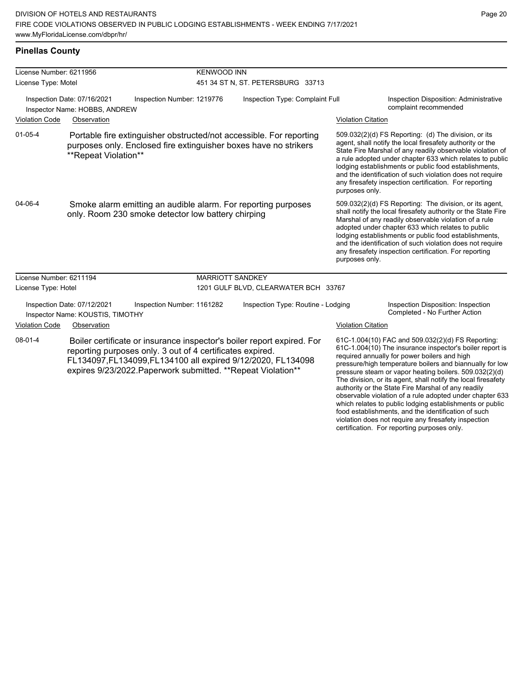violation does not require any firesafety inspection certification. For reporting purposes only.

#### **Pinellas County**

| License Number: 6211956 |                                                                 | <b>KENWOOD INN</b>                                                                                                                                                                                                                                                   |                                      |                           |                                                                                                                                                                                                                                                                                                                                                                                                                                                                                                                                                                                           |  |  |
|-------------------------|-----------------------------------------------------------------|----------------------------------------------------------------------------------------------------------------------------------------------------------------------------------------------------------------------------------------------------------------------|--------------------------------------|---------------------------|-------------------------------------------------------------------------------------------------------------------------------------------------------------------------------------------------------------------------------------------------------------------------------------------------------------------------------------------------------------------------------------------------------------------------------------------------------------------------------------------------------------------------------------------------------------------------------------------|--|--|
| License Type: Motel     |                                                                 |                                                                                                                                                                                                                                                                      | 451 34 ST N, ST. PETERSBURG 33713    |                           |                                                                                                                                                                                                                                                                                                                                                                                                                                                                                                                                                                                           |  |  |
|                         | Inspection Date: 07/16/2021<br>Inspector Name: HOBBS, ANDREW    | Inspection Number: 1219776                                                                                                                                                                                                                                           | Inspection Type: Complaint Full      |                           | Inspection Disposition: Administrative<br>complaint recommended                                                                                                                                                                                                                                                                                                                                                                                                                                                                                                                           |  |  |
| <b>Violation Code</b>   | Observation                                                     |                                                                                                                                                                                                                                                                      |                                      | <b>Violation Citation</b> |                                                                                                                                                                                                                                                                                                                                                                                                                                                                                                                                                                                           |  |  |
| $01 - 05 - 4$           | **Repeat Violation**                                            | Portable fire extinguisher obstructed/not accessible. For reporting<br>purposes only. Enclosed fire extinguisher boxes have no strikers                                                                                                                              |                                      | purposes only.            | 509.032(2)(d) FS Reporting: (d) The division, or its<br>agent, shall notify the local firesafety authority or the<br>State Fire Marshal of any readily observable violation of<br>a rule adopted under chapter 633 which relates to public<br>lodging establishments or public food establishments,<br>and the identification of such violation does not require<br>any firesafety inspection certification. For reporting                                                                                                                                                                |  |  |
| 04-06-4                 |                                                                 | Smoke alarm emitting an audible alarm. For reporting purposes<br>only. Room 230 smoke detector low battery chirping                                                                                                                                                  |                                      | purposes only.            | 509.032(2)(d) FS Reporting: The division, or its agent,<br>shall notify the local firesafety authority or the State Fire<br>Marshal of any readily observable violation of a rule<br>adopted under chapter 633 which relates to public<br>lodging establishments or public food establishments,<br>and the identification of such violation does not require<br>any firesafety inspection certification. For reporting                                                                                                                                                                    |  |  |
| License Number: 6211194 |                                                                 | <b>MARRIOTT SANDKEY</b>                                                                                                                                                                                                                                              |                                      |                           |                                                                                                                                                                                                                                                                                                                                                                                                                                                                                                                                                                                           |  |  |
| License Type: Hotel     |                                                                 |                                                                                                                                                                                                                                                                      | 1201 GULF BLVD, CLEARWATER BCH 33767 |                           |                                                                                                                                                                                                                                                                                                                                                                                                                                                                                                                                                                                           |  |  |
|                         | Inspection Date: 07/12/2021<br>Inspector Name: KOUSTIS, TIMOTHY | Inspection Number: 1161282                                                                                                                                                                                                                                           | Inspection Type: Routine - Lodging   |                           | Inspection Disposition: Inspection<br>Completed - No Further Action                                                                                                                                                                                                                                                                                                                                                                                                                                                                                                                       |  |  |
| <b>Violation Code</b>   | Observation                                                     |                                                                                                                                                                                                                                                                      |                                      | <b>Violation Citation</b> |                                                                                                                                                                                                                                                                                                                                                                                                                                                                                                                                                                                           |  |  |
| $08 - 01 - 4$           |                                                                 | Boiler certificate or insurance inspector's boiler report expired. For<br>reporting purposes only. 3 out of 4 certificates expired.<br>FL134097, FL134099, FL134100 all expired 9/12/2020, FL134098<br>expires 9/23/2022. Paperwork submitted. ** Repeat Violation** |                                      |                           | 61C-1.004(10) FAC and 509.032(2)(d) FS Reporting:<br>61C-1.004(10) The insurance inspector's boiler report is<br>required annually for power boilers and high<br>pressure/high temperature boilers and biannually for low<br>pressure steam or vapor heating boilers. 509.032(2)(d)<br>The division, or its agent, shall notify the local firesafety<br>authority or the State Fire Marshal of any readily<br>observable violation of a rule adopted under chapter 633<br>which relates to public lodging establishments or public<br>food establishments, and the identification of such |  |  |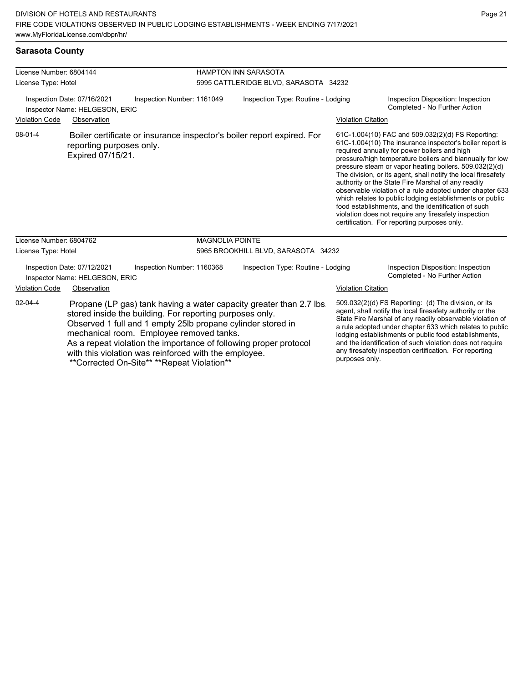| License Number: 6804144<br>License Type: Hotel |                                                               |                                                                                                                                                                                                                                                                                                  | <b>HAMPTON INN SARASOTA</b> |                                                                                                                                          |                           |                                                                                                                                                                                                                                                                                                                                                                                                                                                                                                                                                                                                                                                                                                  |  |
|------------------------------------------------|---------------------------------------------------------------|--------------------------------------------------------------------------------------------------------------------------------------------------------------------------------------------------------------------------------------------------------------------------------------------------|-----------------------------|------------------------------------------------------------------------------------------------------------------------------------------|---------------------------|--------------------------------------------------------------------------------------------------------------------------------------------------------------------------------------------------------------------------------------------------------------------------------------------------------------------------------------------------------------------------------------------------------------------------------------------------------------------------------------------------------------------------------------------------------------------------------------------------------------------------------------------------------------------------------------------------|--|
|                                                |                                                               |                                                                                                                                                                                                                                                                                                  |                             | 5995 CATTLERIDGE BLVD, SARASOTA 34232                                                                                                    |                           |                                                                                                                                                                                                                                                                                                                                                                                                                                                                                                                                                                                                                                                                                                  |  |
|                                                | Inspection Date: 07/16/2021<br>Inspector Name: HELGESON, ERIC | Inspection Number: 1161049                                                                                                                                                                                                                                                                       |                             | Inspection Type: Routine - Lodging                                                                                                       |                           | Inspection Disposition: Inspection<br>Completed - No Further Action                                                                                                                                                                                                                                                                                                                                                                                                                                                                                                                                                                                                                              |  |
| <b>Violation Code</b>                          | Observation                                                   |                                                                                                                                                                                                                                                                                                  |                             |                                                                                                                                          | <b>Violation Citation</b> |                                                                                                                                                                                                                                                                                                                                                                                                                                                                                                                                                                                                                                                                                                  |  |
| $08 - 01 - 4$                                  | reporting purposes only.<br>Expired 07/15/21.                 |                                                                                                                                                                                                                                                                                                  |                             | Boiler certificate or insurance inspector's boiler report expired. For                                                                   |                           | 61C-1.004(10) FAC and 509.032(2)(d) FS Reporting:<br>61C-1.004(10) The insurance inspector's boiler report is<br>required annually for power boilers and high<br>pressure/high temperature boilers and biannually for low<br>pressure steam or vapor heating boilers. 509.032(2)(d)<br>The division, or its agent, shall notify the local firesafety<br>authority or the State Fire Marshal of any readily<br>observable violation of a rule adopted under chapter 633<br>which relates to public lodging establishments or public<br>food establishments, and the identification of such<br>violation does not require any firesafety inspection<br>certification. For reporting purposes only. |  |
| License Number: 6804762                        |                                                               |                                                                                                                                                                                                                                                                                                  | <b>MAGNOLIA POINTE</b>      |                                                                                                                                          |                           |                                                                                                                                                                                                                                                                                                                                                                                                                                                                                                                                                                                                                                                                                                  |  |
| License Type: Hotel                            |                                                               |                                                                                                                                                                                                                                                                                                  |                             | 5965 BROOKHILL BLVD, SARASOTA 34232                                                                                                      |                           |                                                                                                                                                                                                                                                                                                                                                                                                                                                                                                                                                                                                                                                                                                  |  |
|                                                | Inspection Date: 07/12/2021<br>Inspector Name: HELGESON, ERIC | Inspection Number: 1160368                                                                                                                                                                                                                                                                       |                             | Inspection Type: Routine - Lodging                                                                                                       |                           | Inspection Disposition: Inspection<br>Completed - No Further Action                                                                                                                                                                                                                                                                                                                                                                                                                                                                                                                                                                                                                              |  |
| <b>Violation Code</b>                          | Observation                                                   |                                                                                                                                                                                                                                                                                                  |                             |                                                                                                                                          | <b>Violation Citation</b> |                                                                                                                                                                                                                                                                                                                                                                                                                                                                                                                                                                                                                                                                                                  |  |
| $02 - 04 - 4$                                  |                                                               | stored inside the building. For reporting purposes only.<br>Observed 1 full and 1 empty 25lb propane cylinder stored in<br>mechanical room. Employee removed tanks.<br>with this violation was reinforced with the employee.<br>$*$ Carroctod On $C$ ito $*$ $*$ $*$ $R$ onoot Violotion $*$ $*$ |                             | Propane (LP gas) tank having a water capacity greater than 2.7 lbs.<br>As a repeat violation the importance of following proper protocol | purposes only.            | 509.032(2)(d) FS Reporting: (d) The division, or its<br>agent, shall notify the local firesafety authority or the<br>State Fire Marshal of any readily observable violation of<br>a rule adopted under chapter 633 which relates to public<br>lodging establishments or public food establishments,<br>and the identification of such violation does not require<br>any firesafety inspection certification. For reporting                                                                                                                                                                                                                                                                       |  |

\*Corrected On-Site\*\* \*\*Repeat Violation\*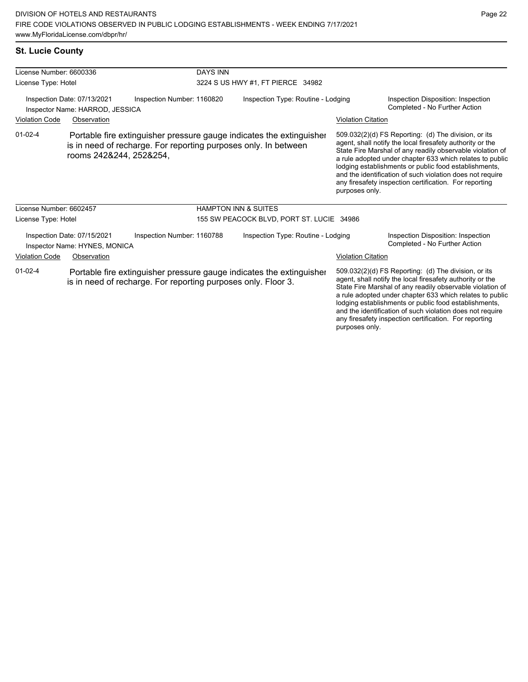### **St. Lucie County**

| License Number: 6600336 |                                                                | <b>DAYS INN</b>                                                                                                                         |                                           |                           |                                                                                                                                                                                                                                                                                                                                                                                                                            |
|-------------------------|----------------------------------------------------------------|-----------------------------------------------------------------------------------------------------------------------------------------|-------------------------------------------|---------------------------|----------------------------------------------------------------------------------------------------------------------------------------------------------------------------------------------------------------------------------------------------------------------------------------------------------------------------------------------------------------------------------------------------------------------------|
| License Type: Hotel     |                                                                |                                                                                                                                         | 3224 S US HWY #1, FT PIERCE 34982         |                           |                                                                                                                                                                                                                                                                                                                                                                                                                            |
|                         | Inspection Date: 07/13/2021<br>Inspector Name: HARROD, JESSICA | Inspection Number: 1160820                                                                                                              | Inspection Type: Routine - Lodging        |                           | Inspection Disposition: Inspection<br>Completed - No Further Action                                                                                                                                                                                                                                                                                                                                                        |
| <b>Violation Code</b>   | Observation                                                    |                                                                                                                                         |                                           | <b>Violation Citation</b> |                                                                                                                                                                                                                                                                                                                                                                                                                            |
| $01 - 02 - 4$           | rooms 242&244, 252&254,                                        | Portable fire extinguisher pressure gauge indicates the extinguisher<br>is in need of recharge. For reporting purposes only. In between |                                           | purposes only.            | 509.032(2)(d) FS Reporting: (d) The division, or its<br>agent, shall notify the local firesafety authority or the<br>State Fire Marshal of any readily observable violation of<br>a rule adopted under chapter 633 which relates to public<br>lodging establishments or public food establishments,<br>and the identification of such violation does not require<br>any firesafety inspection certification. For reporting |
| License Number: 6602457 |                                                                |                                                                                                                                         | <b>HAMPTON INN &amp; SUITES</b>           |                           |                                                                                                                                                                                                                                                                                                                                                                                                                            |
| License Type: Hotel     |                                                                |                                                                                                                                         | 155 SW PEACOCK BLVD, PORT ST. LUCIE 34986 |                           |                                                                                                                                                                                                                                                                                                                                                                                                                            |
|                         | Inspection Date: 07/15/2021<br>Inspector Name: HYNES, MONICA   | Inspection Number: 1160788                                                                                                              | Inspection Type: Routine - Lodging        |                           | Inspection Disposition: Inspection<br>Completed - No Further Action                                                                                                                                                                                                                                                                                                                                                        |
| <b>Violation Code</b>   | Observation                                                    |                                                                                                                                         |                                           | <b>Violation Citation</b> |                                                                                                                                                                                                                                                                                                                                                                                                                            |
| $01 - 02 - 4$           |                                                                | Portable fire extinguisher pressure gauge indicates the extinguisher<br>is in need of recharge. For reporting purposes only. Floor 3.   |                                           |                           | 509.032(2)(d) FS Reporting: (d) The division, or its<br>agent, shall notify the local firesafety authority or the<br>State Fire Marshal of any readily observable violation of<br>a rule adopted under chapter 633 which relates to public<br>lodging establishments or public food establishments,<br>and the identification of such violation does not require<br>any firesafety inspection certification. For reporting |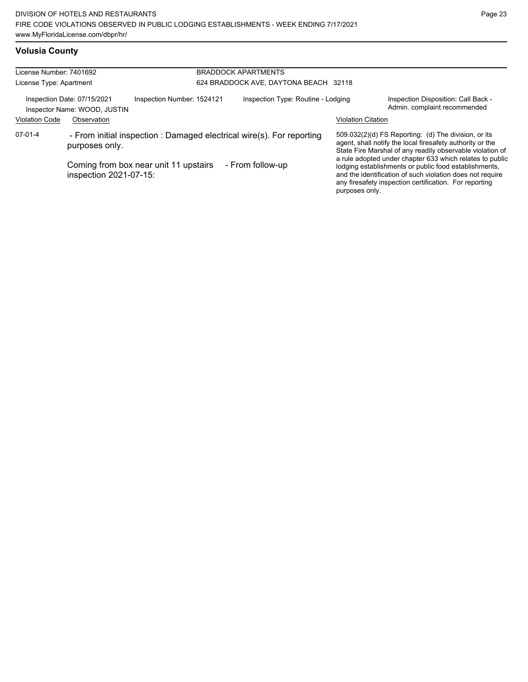### **Volusia County**

| License Number: 7401692<br>License Type: Apartment |                                                                            |                                                                                                                | <b>BRADDOCK APARTMENTS</b><br>624 BRADDOCK AVE, DAYTONA BEACH 32118 |                           |                                                                                                                                                                                                                                                                                                                                                                                                                            |  |
|----------------------------------------------------|----------------------------------------------------------------------------|----------------------------------------------------------------------------------------------------------------|---------------------------------------------------------------------|---------------------------|----------------------------------------------------------------------------------------------------------------------------------------------------------------------------------------------------------------------------------------------------------------------------------------------------------------------------------------------------------------------------------------------------------------------------|--|
| <b>Violation Code</b>                              | Inspection Date: 07/15/2021<br>Inspector Name: WOOD, JUSTIN<br>Observation | Inspection Number: 1524121                                                                                     | Inspection Type: Routine - Lodging                                  | <b>Violation Citation</b> | Inspection Disposition: Call Back -<br>Admin. complaint recommended                                                                                                                                                                                                                                                                                                                                                        |  |
| $07-01-4$                                          | purposes only.<br>inspection 2021-07-15:                                   | - From initial inspection : Damaged electrical wire(s). For reporting<br>Coming from box near unit 11 upstairs | - From follow-up                                                    | purposes only.            | 509.032(2)(d) FS Reporting: (d) The division, or its<br>agent, shall notify the local firesafety authority or the<br>State Fire Marshal of any readily observable violation of<br>a rule adopted under chapter 633 which relates to public<br>lodging establishments or public food establishments,<br>and the identification of such violation does not require<br>any firesafety inspection certification. For reporting |  |